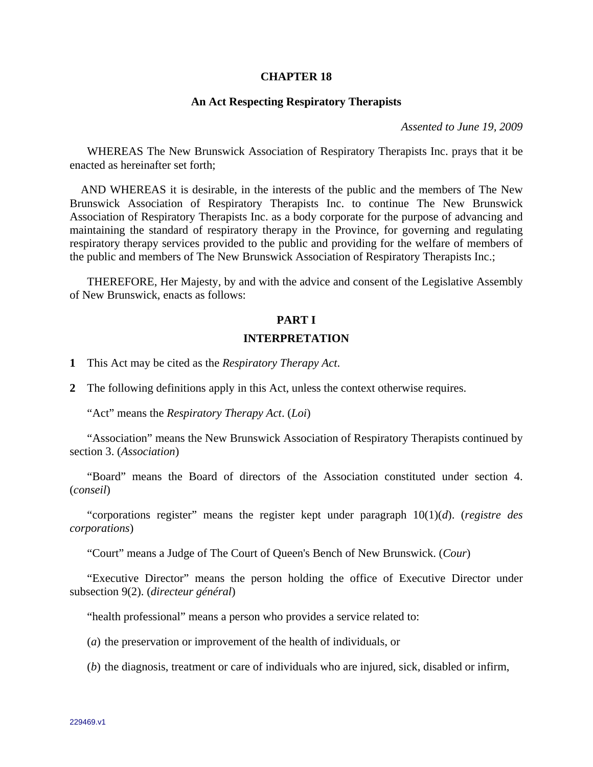#### **CHAPTER 18**

#### **An Act Respecting Respiratory Therapists**

*Assented to June 19, 2009* 

 WHEREAS The New Brunswick Association of Respiratory Therapists Inc. prays that it be enacted as hereinafter set forth;

 AND WHEREAS it is desirable, in the interests of the public and the members of The New Brunswick Association of Respiratory Therapists Inc. to continue The New Brunswick Association of Respiratory Therapists Inc. as a body corporate for the purpose of advancing and maintaining the standard of respiratory therapy in the Province, for governing and regulating respiratory therapy services provided to the public and providing for the welfare of members of the public and members of The New Brunswick Association of Respiratory Therapists Inc.;

 THEREFORE, Her Majesty, by and with the advice and consent of the Legislative Assembly of New Brunswick, enacts as follows:

# **PART I INTERPRETATION**

**1** This Act may be cited as the *Respiratory Therapy Act*.

**2** The following definitions apply in this Act, unless the context otherwise requires.

"Act" means the *Respiratory Therapy Act*. (*Loi*)

 "Association" means the New Brunswick Association of Respiratory Therapists continued by section 3. (*Association*)

 "Board" means the Board of directors of the Association constituted under section 4. (*conseil*)

 "corporations register" means the register kept under paragraph 10(1)(*d*). (*registre des corporations*)

"Court" means a Judge of The Court of Queen's Bench of New Brunswick. (*Cour*)

 "Executive Director" means the person holding the office of Executive Director under subsection 9(2). (*directeur général*)

"health professional" means a person who provides a service related to:

(*a*) the preservation or improvement of the health of individuals, or

(*b*) the diagnosis, treatment or care of individuals who are injured, sick, disabled or infirm,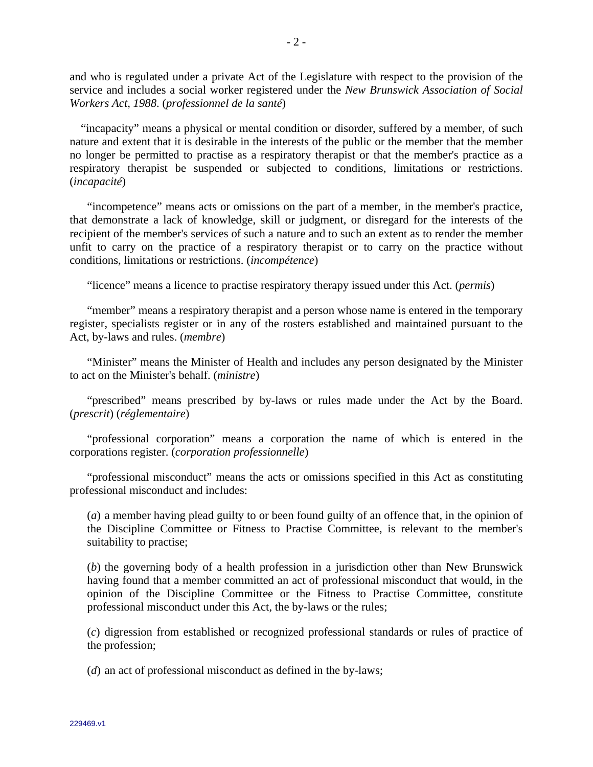and who is regulated under a private Act of the Legislature with respect to the provision of the service and includes a social worker registered under the *New Brunswick Association of Social Workers Act, 1988*. (*professionnel de la santé*)

 "incapacity" means a physical or mental condition or disorder, suffered by a member, of such nature and extent that it is desirable in the interests of the public or the member that the member no longer be permitted to practise as a respiratory therapist or that the member's practice as a respiratory therapist be suspended or subjected to conditions, limitations or restrictions. (*incapacité*)

 "incompetence" means acts or omissions on the part of a member, in the member's practice, that demonstrate a lack of knowledge, skill or judgment, or disregard for the interests of the recipient of the member's services of such a nature and to such an extent as to render the member unfit to carry on the practice of a respiratory therapist or to carry on the practice without conditions, limitations or restrictions. (*incompétence*)

"licence" means a licence to practise respiratory therapy issued under this Act. (*permis*)

 "member" means a respiratory therapist and a person whose name is entered in the temporary register, specialists register or in any of the rosters established and maintained pursuant to the Act, by-laws and rules. (*membre*)

 "Minister" means the Minister of Health and includes any person designated by the Minister to act on the Minister's behalf. (*ministre*)

 "prescribed" means prescribed by by-laws or rules made under the Act by the Board. (*prescrit*) (*réglementaire*)

 "professional corporation" means a corporation the name of which is entered in the corporations register. (*corporation professionnelle*)

 "professional misconduct" means the acts or omissions specified in this Act as constituting professional misconduct and includes:

 (*a*) a member having plead guilty to or been found guilty of an offence that, in the opinion of the Discipline Committee or Fitness to Practise Committee, is relevant to the member's suitability to practise;

 (*b*) the governing body of a health profession in a jurisdiction other than New Brunswick having found that a member committed an act of professional misconduct that would, in the opinion of the Discipline Committee or the Fitness to Practise Committee, constitute professional misconduct under this Act, the by-laws or the rules;

 (*c*) digression from established or recognized professional standards or rules of practice of the profession;

(*d*) an act of professional misconduct as defined in the by-laws;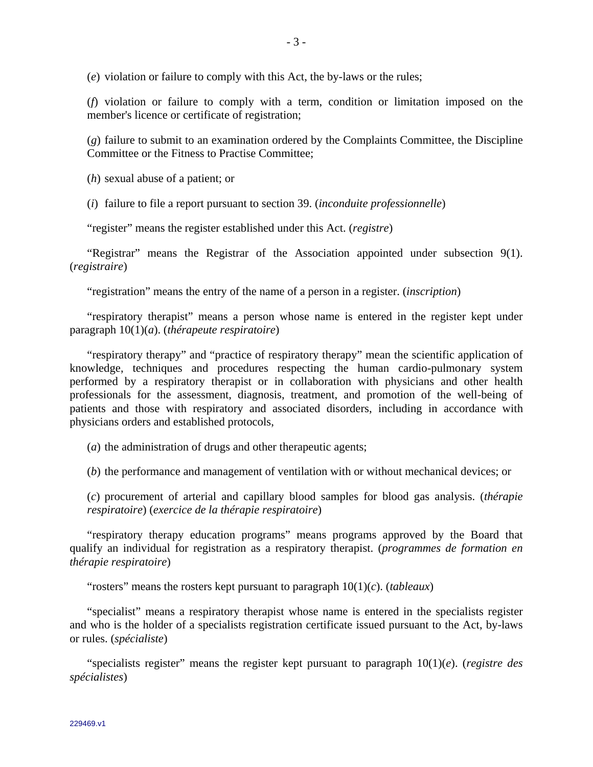(*e*) violation or failure to comply with this Act, the by-laws or the rules;

 (*f*) violation or failure to comply with a term, condition or limitation imposed on the member's licence or certificate of registration;

 (*g*) failure to submit to an examination ordered by the Complaints Committee, the Discipline Committee or the Fitness to Practise Committee;

(*h*) sexual abuse of a patient; or

(*i*) failure to file a report pursuant to section 39. (*inconduite professionnelle*)

"register" means the register established under this Act. (*registre*)

 "Registrar" means the Registrar of the Association appointed under subsection 9(1). (*registraire*)

"registration" means the entry of the name of a person in a register. (*inscription*)

 "respiratory therapist" means a person whose name is entered in the register kept under paragraph 10(1)(*a*). (*thérapeute respiratoire*)

 "respiratory therapy" and "practice of respiratory therapy" mean the scientific application of knowledge, techniques and procedures respecting the human cardio-pulmonary system performed by a respiratory therapist or in collaboration with physicians and other health professionals for the assessment, diagnosis, treatment, and promotion of the well-being of patients and those with respiratory and associated disorders, including in accordance with physicians orders and established protocols,

(*a*) the administration of drugs and other therapeutic agents;

(*b*) the performance and management of ventilation with or without mechanical devices; or

 (*c*) procurement of arterial and capillary blood samples for blood gas analysis. (*thérapie respiratoire*) (*exercice de la thérapie respiratoire*)

 "respiratory therapy education programs" means programs approved by the Board that qualify an individual for registration as a respiratory therapist. (*programmes de formation en thérapie respiratoire*)

"rosters" means the rosters kept pursuant to paragraph 10(1)(*c*). (*tableaux*)

 "specialist" means a respiratory therapist whose name is entered in the specialists register and who is the holder of a specialists registration certificate issued pursuant to the Act, by-laws or rules. (*spécialiste*)

 "specialists register" means the register kept pursuant to paragraph 10(1)(*e*). (*registre des spécialistes*)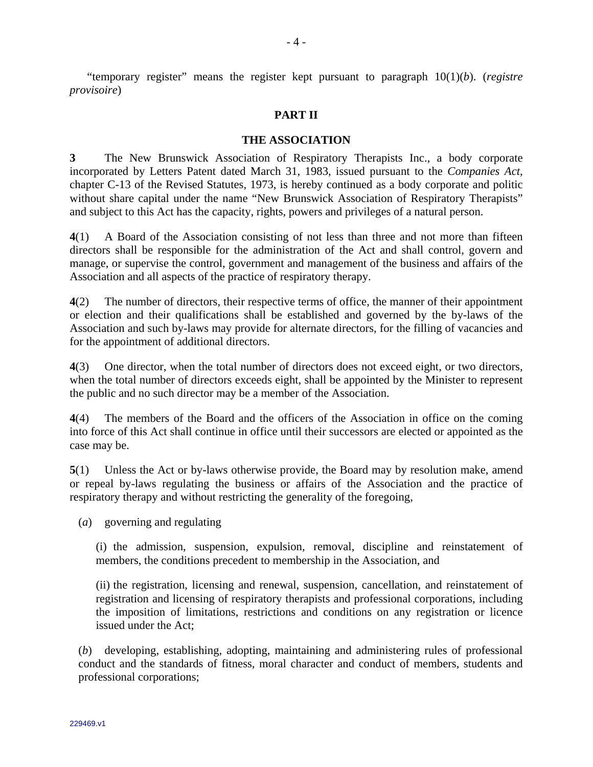## **PART II**

### **THE ASSOCIATION**

**3** The New Brunswick Association of Respiratory Therapists Inc., a body corporate incorporated by Letters Patent dated March 31, 1983, issued pursuant to the *Companies Act*, chapter C-13 of the Revised Statutes, 1973, is hereby continued as a body corporate and politic without share capital under the name "New Brunswick Association of Respiratory Therapists" and subject to this Act has the capacity, rights, powers and privileges of a natural person.

**4**(1) A Board of the Association consisting of not less than three and not more than fifteen directors shall be responsible for the administration of the Act and shall control, govern and manage, or supervise the control, government and management of the business and affairs of the Association and all aspects of the practice of respiratory therapy.

**4**(2) The number of directors, their respective terms of office, the manner of their appointment or election and their qualifications shall be established and governed by the by-laws of the Association and such by-laws may provide for alternate directors, for the filling of vacancies and for the appointment of additional directors.

**4**(3) One director, when the total number of directors does not exceed eight, or two directors, when the total number of directors exceeds eight, shall be appointed by the Minister to represent the public and no such director may be a member of the Association.

**4**(4) The members of the Board and the officers of the Association in office on the coming into force of this Act shall continue in office until their successors are elected or appointed as the case may be.

**5**(1) Unless the Act or by-laws otherwise provide, the Board may by resolution make, amend or repeal by-laws regulating the business or affairs of the Association and the practice of respiratory therapy and without restricting the generality of the foregoing,

(*a*) governing and regulating

(i) the admission, suspension, expulsion, removal, discipline and reinstatement of members, the conditions precedent to membership in the Association, and

(ii) the registration, licensing and renewal, suspension, cancellation, and reinstatement of registration and licensing of respiratory therapists and professional corporations, including the imposition of limitations, restrictions and conditions on any registration or licence issued under the Act;

(*b*) developing, establishing, adopting, maintaining and administering rules of professional conduct and the standards of fitness, moral character and conduct of members, students and professional corporations;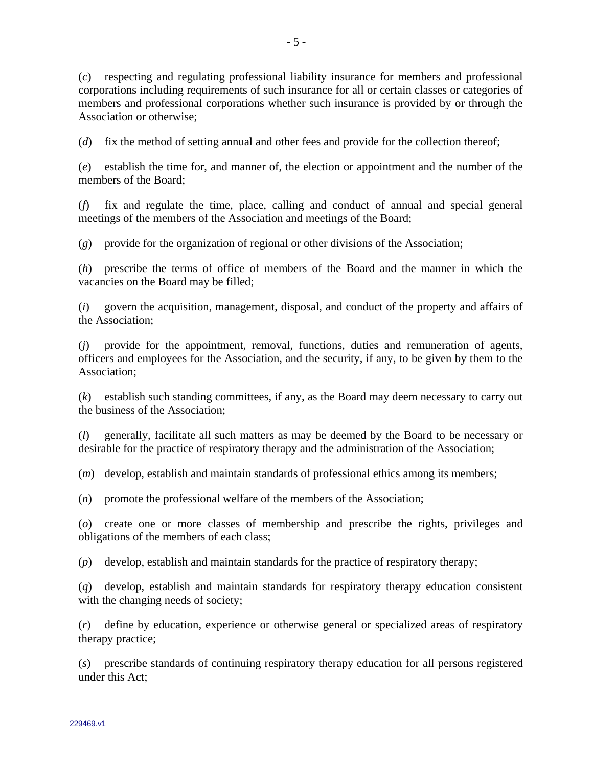(*c*) respecting and regulating professional liability insurance for members and professional corporations including requirements of such insurance for all or certain classes or categories of members and professional corporations whether such insurance is provided by or through the Association or otherwise;

(*d*) fix the method of setting annual and other fees and provide for the collection thereof;

(*e*) establish the time for, and manner of, the election or appointment and the number of the members of the Board;

(*f*) fix and regulate the time, place, calling and conduct of annual and special general meetings of the members of the Association and meetings of the Board;

(*g*) provide for the organization of regional or other divisions of the Association;

(*h*) prescribe the terms of office of members of the Board and the manner in which the vacancies on the Board may be filled;

(*i*) govern the acquisition, management, disposal, and conduct of the property and affairs of the Association;

(*j*) provide for the appointment, removal, functions, duties and remuneration of agents, officers and employees for the Association, and the security, if any, to be given by them to the Association;

(*k*) establish such standing committees, if any, as the Board may deem necessary to carry out the business of the Association;

(*l*) generally, facilitate all such matters as may be deemed by the Board to be necessary or desirable for the practice of respiratory therapy and the administration of the Association;

(*m*) develop, establish and maintain standards of professional ethics among its members;

(*n*) promote the professional welfare of the members of the Association;

(*o*) create one or more classes of membership and prescribe the rights, privileges and obligations of the members of each class;

(*p*) develop, establish and maintain standards for the practice of respiratory therapy;

(*q*) develop, establish and maintain standards for respiratory therapy education consistent with the changing needs of society;

(*r*) define by education, experience or otherwise general or specialized areas of respiratory therapy practice;

(*s*) prescribe standards of continuing respiratory therapy education for all persons registered under this Act;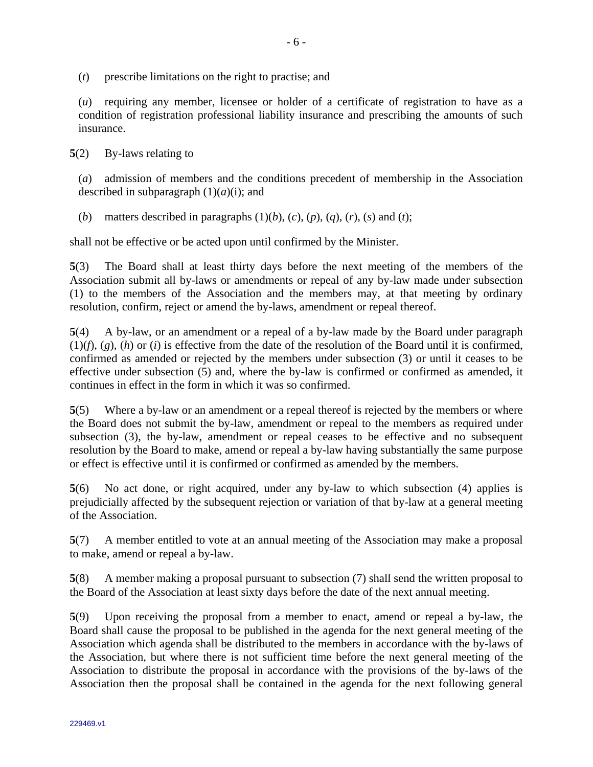(*t*) prescribe limitations on the right to practise; and

(*u*) requiring any member, licensee or holder of a certificate of registration to have as a condition of registration professional liability insurance and prescribing the amounts of such insurance.

**5**(2) By-laws relating to

(*a*) admission of members and the conditions precedent of membership in the Association described in subparagraph  $(1)(a)(i)$ ; and

(*b*) matters described in paragraphs  $(1)(b)$ ,  $(c)$ ,  $(p)$ ,  $(q)$ ,  $(r)$ ,  $(s)$  and  $(t)$ ;

shall not be effective or be acted upon until confirmed by the Minister.

**5**(3) The Board shall at least thirty days before the next meeting of the members of the Association submit all by-laws or amendments or repeal of any by-law made under subsection (1) to the members of the Association and the members may, at that meeting by ordinary resolution, confirm, reject or amend the by-laws, amendment or repeal thereof.

**5**(4) A by-law, or an amendment or a repeal of a by-law made by the Board under paragraph  $(1)(f)$ ,  $(g)$ ,  $(h)$  or  $(i)$  is effective from the date of the resolution of the Board until it is confirmed, confirmed as amended or rejected by the members under subsection (3) or until it ceases to be effective under subsection (5) and, where the by-law is confirmed or confirmed as amended, it continues in effect in the form in which it was so confirmed.

**5**(5) Where a by-law or an amendment or a repeal thereof is rejected by the members or where the Board does not submit the by-law, amendment or repeal to the members as required under subsection (3), the by-law, amendment or repeal ceases to be effective and no subsequent resolution by the Board to make, amend or repeal a by-law having substantially the same purpose or effect is effective until it is confirmed or confirmed as amended by the members.

**5**(6) No act done, or right acquired, under any by-law to which subsection (4) applies is prejudicially affected by the subsequent rejection or variation of that by-law at a general meeting of the Association.

**5**(7) A member entitled to vote at an annual meeting of the Association may make a proposal to make, amend or repeal a by-law.

**5**(8) A member making a proposal pursuant to subsection (7) shall send the written proposal to the Board of the Association at least sixty days before the date of the next annual meeting.

**5**(9) Upon receiving the proposal from a member to enact, amend or repeal a by-law, the Board shall cause the proposal to be published in the agenda for the next general meeting of the Association which agenda shall be distributed to the members in accordance with the by-laws of the Association, but where there is not sufficient time before the next general meeting of the Association to distribute the proposal in accordance with the provisions of the by-laws of the Association then the proposal shall be contained in the agenda for the next following general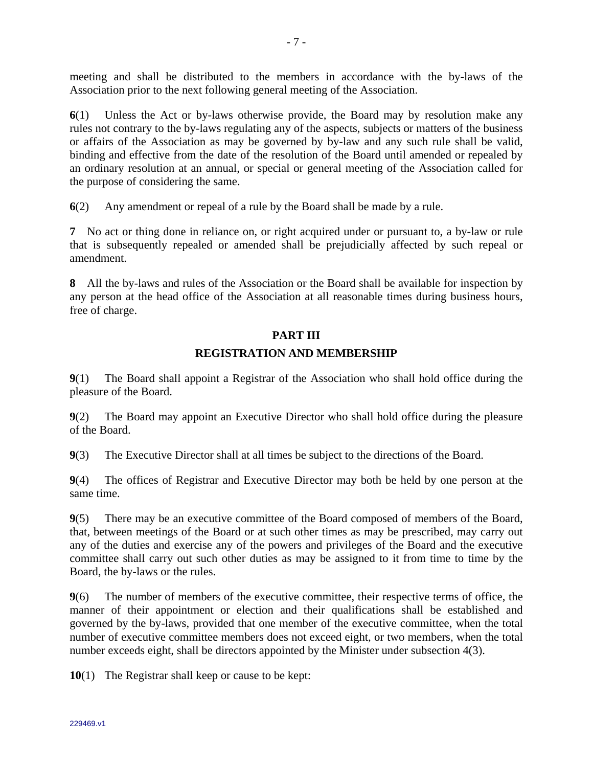meeting and shall be distributed to the members in accordance with the by-laws of the Association prior to the next following general meeting of the Association.

**6**(1) Unless the Act or by-laws otherwise provide, the Board may by resolution make any rules not contrary to the by-laws regulating any of the aspects, subjects or matters of the business or affairs of the Association as may be governed by by-law and any such rule shall be valid, binding and effective from the date of the resolution of the Board until amended or repealed by an ordinary resolution at an annual, or special or general meeting of the Association called for the purpose of considering the same.

**6**(2) Any amendment or repeal of a rule by the Board shall be made by a rule.

**7** No act or thing done in reliance on, or right acquired under or pursuant to, a by-law or rule that is subsequently repealed or amended shall be prejudicially affected by such repeal or amendment.

**8** All the by-laws and rules of the Association or the Board shall be available for inspection by any person at the head office of the Association at all reasonable times during business hours, free of charge.

### **PART III**

### **REGISTRATION AND MEMBERSHIP**

**9**(1) The Board shall appoint a Registrar of the Association who shall hold office during the pleasure of the Board.

**9**(2) The Board may appoint an Executive Director who shall hold office during the pleasure of the Board.

**9**(3) The Executive Director shall at all times be subject to the directions of the Board.

**9**(4) The offices of Registrar and Executive Director may both be held by one person at the same time.

**9**(5) There may be an executive committee of the Board composed of members of the Board, that, between meetings of the Board or at such other times as may be prescribed, may carry out any of the duties and exercise any of the powers and privileges of the Board and the executive committee shall carry out such other duties as may be assigned to it from time to time by the Board, the by-laws or the rules.

**9**(6) The number of members of the executive committee, their respective terms of office, the manner of their appointment or election and their qualifications shall be established and governed by the by-laws, provided that one member of the executive committee, when the total number of executive committee members does not exceed eight, or two members, when the total number exceeds eight, shall be directors appointed by the Minister under subsection 4(3).

**10**(1) The Registrar shall keep or cause to be kept: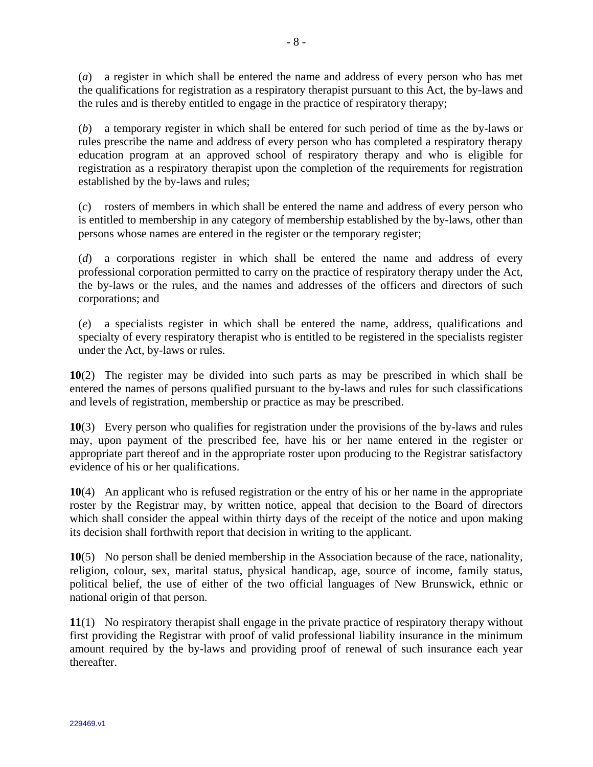(*a*) a register in which shall be entered the name and address of every person who has met the qualifications for registration as a respiratory therapist pursuant to this Act, the by-laws and the rules and is thereby entitled to engage in the practice of respiratory therapy;

(*b*) a temporary register in which shall be entered for such period of time as the by-laws or rules prescribe the name and address of every person who has completed a respiratory therapy education program at an approved school of respiratory therapy and who is eligible for registration as a respiratory therapist upon the completion of the requirements for registration established by the by-laws and rules;

(*c*) rosters of members in which shall be entered the name and address of every person who is entitled to membership in any category of membership established by the by-laws, other than persons whose names are entered in the register or the temporary register;

(*d*) a corporations register in which shall be entered the name and address of every professional corporation permitted to carry on the practice of respiratory therapy under the Act, the by-laws or the rules, and the names and addresses of the officers and directors of such corporations; and

(*e*) a specialists register in which shall be entered the name, address, qualifications and specialty of every respiratory therapist who is entitled to be registered in the specialists register under the Act, by-laws or rules.

**10**(2) The register may be divided into such parts as may be prescribed in which shall be entered the names of persons qualified pursuant to the by-laws and rules for such classifications and levels of registration, membership or practice as may be prescribed.

**10**(3) Every person who qualifies for registration under the provisions of the by-laws and rules may, upon payment of the prescribed fee, have his or her name entered in the register or appropriate part thereof and in the appropriate roster upon producing to the Registrar satisfactory evidence of his or her qualifications.

**10**(4) An applicant who is refused registration or the entry of his or her name in the appropriate roster by the Registrar may, by written notice, appeal that decision to the Board of directors which shall consider the appeal within thirty days of the receipt of the notice and upon making its decision shall forthwith report that decision in writing to the applicant.

**10**(5) No person shall be denied membership in the Association because of the race, nationality, religion, colour, sex, marital status, physical handicap, age, source of income, family status, political belief, the use of either of the two official languages of New Brunswick, ethnic or national origin of that person.

**11**(1) No respiratory therapist shall engage in the private practice of respiratory therapy without first providing the Registrar with proof of valid professional liability insurance in the minimum amount required by the by-laws and providing proof of renewal of such insurance each year thereafter.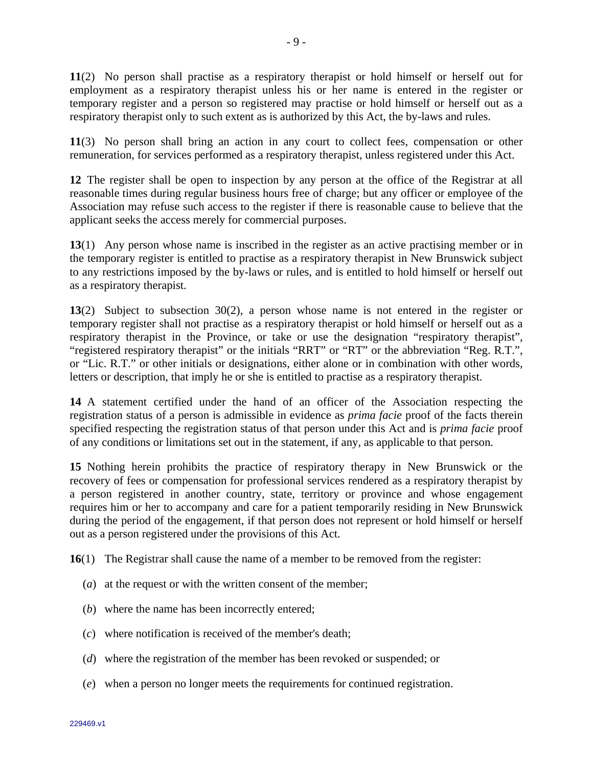**11**(2) No person shall practise as a respiratory therapist or hold himself or herself out for employment as a respiratory therapist unless his or her name is entered in the register or temporary register and a person so registered may practise or hold himself or herself out as a respiratory therapist only to such extent as is authorized by this Act, the by-laws and rules.

**11**(3) No person shall bring an action in any court to collect fees, compensation or other remuneration, for services performed as a respiratory therapist, unless registered under this Act.

**12** The register shall be open to inspection by any person at the office of the Registrar at all reasonable times during regular business hours free of charge; but any officer or employee of the Association may refuse such access to the register if there is reasonable cause to believe that the applicant seeks the access merely for commercial purposes.

**13**(1) Any person whose name is inscribed in the register as an active practising member or in the temporary register is entitled to practise as a respiratory therapist in New Brunswick subject to any restrictions imposed by the by-laws or rules, and is entitled to hold himself or herself out as a respiratory therapist.

**13**(2) Subject to subsection 30(2), a person whose name is not entered in the register or temporary register shall not practise as a respiratory therapist or hold himself or herself out as a respiratory therapist in the Province, or take or use the designation "respiratory therapist", "registered respiratory therapist" or the initials "RRT" or "RT" or the abbreviation "Reg. R.T.", or "Lic. R.T." or other initials or designations, either alone or in combination with other words, letters or description, that imply he or she is entitled to practise as a respiratory therapist.

**14** A statement certified under the hand of an officer of the Association respecting the registration status of a person is admissible in evidence as *prima facie* proof of the facts therein specified respecting the registration status of that person under this Act and is *prima facie* proof of any conditions or limitations set out in the statement, if any, as applicable to that person.

**15** Nothing herein prohibits the practice of respiratory therapy in New Brunswick or the recovery of fees or compensation for professional services rendered as a respiratory therapist by a person registered in another country, state, territory or province and whose engagement requires him or her to accompany and care for a patient temporarily residing in New Brunswick during the period of the engagement, if that person does not represent or hold himself or herself out as a person registered under the provisions of this Act.

**16**(1) The Registrar shall cause the name of a member to be removed from the register:

- (*a*) at the request or with the written consent of the member;
- (*b*) where the name has been incorrectly entered;
- (*c*) where notification is received of the member's death;
- (*d*) where the registration of the member has been revoked or suspended; or
- (*e*) when a person no longer meets the requirements for continued registration.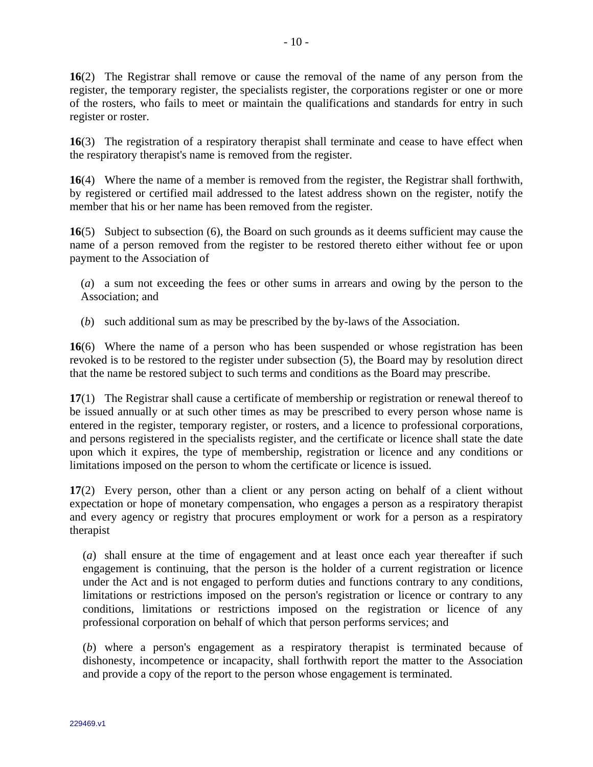**16**(2) The Registrar shall remove or cause the removal of the name of any person from the register, the temporary register, the specialists register, the corporations register or one or more of the rosters, who fails to meet or maintain the qualifications and standards for entry in such register or roster.

**16**(3) The registration of a respiratory therapist shall terminate and cease to have effect when the respiratory therapist's name is removed from the register.

**16**(4) Where the name of a member is removed from the register, the Registrar shall forthwith, by registered or certified mail addressed to the latest address shown on the register, notify the member that his or her name has been removed from the register.

**16**(5) Subject to subsection (6), the Board on such grounds as it deems sufficient may cause the name of a person removed from the register to be restored thereto either without fee or upon payment to the Association of

(*a*) a sum not exceeding the fees or other sums in arrears and owing by the person to the Association; and

(*b*) such additional sum as may be prescribed by the by-laws of the Association.

**16**(6) Where the name of a person who has been suspended or whose registration has been revoked is to be restored to the register under subsection (5), the Board may by resolution direct that the name be restored subject to such terms and conditions as the Board may prescribe.

**17**(1) The Registrar shall cause a certificate of membership or registration or renewal thereof to be issued annually or at such other times as may be prescribed to every person whose name is entered in the register, temporary register, or rosters, and a licence to professional corporations, and persons registered in the specialists register, and the certificate or licence shall state the date upon which it expires, the type of membership, registration or licence and any conditions or limitations imposed on the person to whom the certificate or licence is issued.

**17**(2) Every person, other than a client or any person acting on behalf of a client without expectation or hope of monetary compensation, who engages a person as a respiratory therapist and every agency or registry that procures employment or work for a person as a respiratory therapist

(*a*) shall ensure at the time of engagement and at least once each year thereafter if such engagement is continuing, that the person is the holder of a current registration or licence under the Act and is not engaged to perform duties and functions contrary to any conditions, limitations or restrictions imposed on the person's registration or licence or contrary to any conditions, limitations or restrictions imposed on the registration or licence of any professional corporation on behalf of which that person performs services; and

(*b*) where a person's engagement as a respiratory therapist is terminated because of dishonesty, incompetence or incapacity, shall forthwith report the matter to the Association and provide a copy of the report to the person whose engagement is terminated.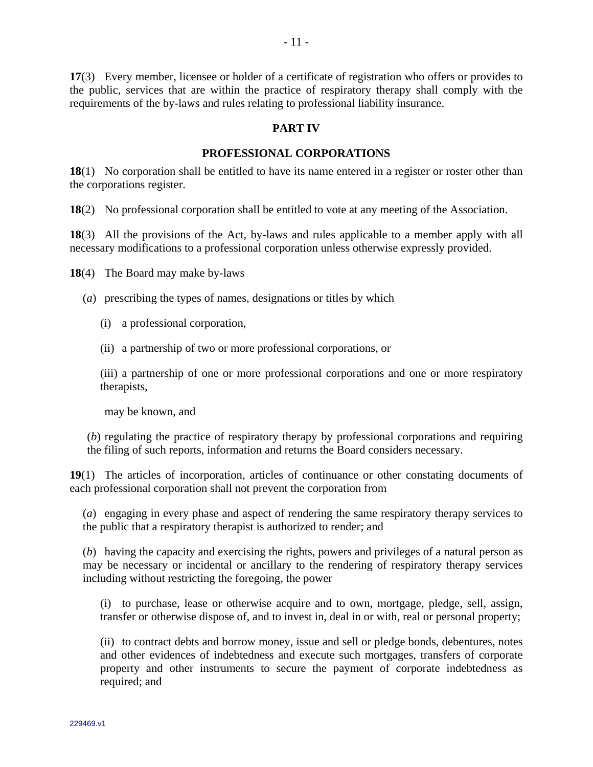**17**(3) Every member, licensee or holder of a certificate of registration who offers or provides to the public, services that are within the practice of respiratory therapy shall comply with the requirements of the by-laws and rules relating to professional liability insurance.

### **PART IV**

#### **PROFESSIONAL CORPORATIONS**

**18**(1) No corporation shall be entitled to have its name entered in a register or roster other than the corporations register.

**18**(2) No professional corporation shall be entitled to vote at any meeting of the Association.

**18**(3) All the provisions of the Act, by-laws and rules applicable to a member apply with all necessary modifications to a professional corporation unless otherwise expressly provided.

**18**(4) The Board may make by-laws

(*a*) prescribing the types of names, designations or titles by which

(i) a professional corporation,

(ii) a partnership of two or more professional corporations, or

(iii) a partnership of one or more professional corporations and one or more respiratory therapists,

may be known, and

(*b*) regulating the practice of respiratory therapy by professional corporations and requiring the filing of such reports, information and returns the Board considers necessary.

**19**(1) The articles of incorporation, articles of continuance or other constating documents of each professional corporation shall not prevent the corporation from

(*a*) engaging in every phase and aspect of rendering the same respiratory therapy services to the public that a respiratory therapist is authorized to render; and

(*b*) having the capacity and exercising the rights, powers and privileges of a natural person as may be necessary or incidental or ancillary to the rendering of respiratory therapy services including without restricting the foregoing, the power

(i) to purchase, lease or otherwise acquire and to own, mortgage, pledge, sell, assign, transfer or otherwise dispose of, and to invest in, deal in or with, real or personal property;

(ii) to contract debts and borrow money, issue and sell or pledge bonds, debentures, notes and other evidences of indebtedness and execute such mortgages, transfers of corporate property and other instruments to secure the payment of corporate indebtedness as required; and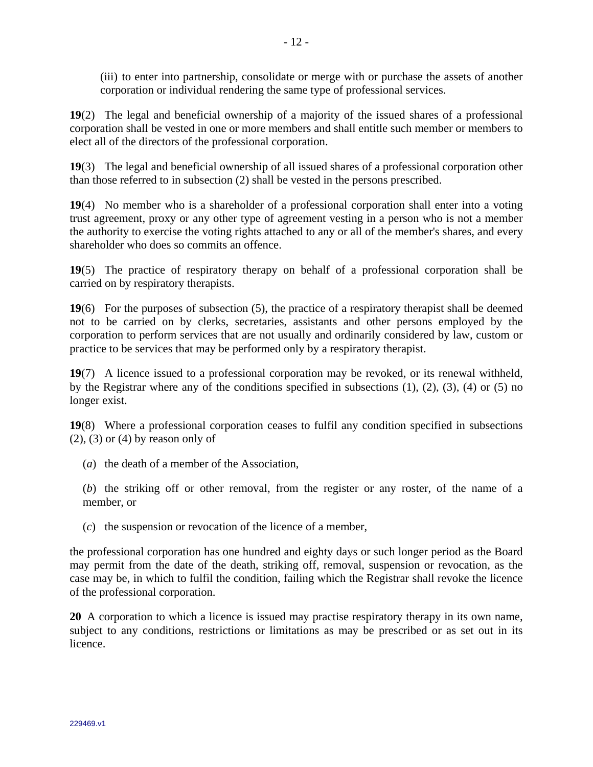(iii) to enter into partnership, consolidate or merge with or purchase the assets of another corporation or individual rendering the same type of professional services.

**19**(2) The legal and beneficial ownership of a majority of the issued shares of a professional corporation shall be vested in one or more members and shall entitle such member or members to elect all of the directors of the professional corporation.

**19**(3) The legal and beneficial ownership of all issued shares of a professional corporation other than those referred to in subsection (2) shall be vested in the persons prescribed.

**19**(4) No member who is a shareholder of a professional corporation shall enter into a voting trust agreement, proxy or any other type of agreement vesting in a person who is not a member the authority to exercise the voting rights attached to any or all of the member's shares, and every shareholder who does so commits an offence.

**19**(5) The practice of respiratory therapy on behalf of a professional corporation shall be carried on by respiratory therapists.

**19**(6) For the purposes of subsection (5), the practice of a respiratory therapist shall be deemed not to be carried on by clerks, secretaries, assistants and other persons employed by the corporation to perform services that are not usually and ordinarily considered by law, custom or practice to be services that may be performed only by a respiratory therapist.

**19**(7) A licence issued to a professional corporation may be revoked, or its renewal withheld, by the Registrar where any of the conditions specified in subsections (1), (2), (3), (4) or (5) no longer exist.

**19**(8) Where a professional corporation ceases to fulfil any condition specified in subsections  $(2)$ ,  $(3)$  or  $(4)$  by reason only of

(*a*) the death of a member of the Association,

(*b*) the striking off or other removal, from the register or any roster, of the name of a member, or

(*c*) the suspension or revocation of the licence of a member,

the professional corporation has one hundred and eighty days or such longer period as the Board may permit from the date of the death, striking off, removal, suspension or revocation, as the case may be, in which to fulfil the condition, failing which the Registrar shall revoke the licence of the professional corporation.

**20** A corporation to which a licence is issued may practise respiratory therapy in its own name, subject to any conditions, restrictions or limitations as may be prescribed or as set out in its licence.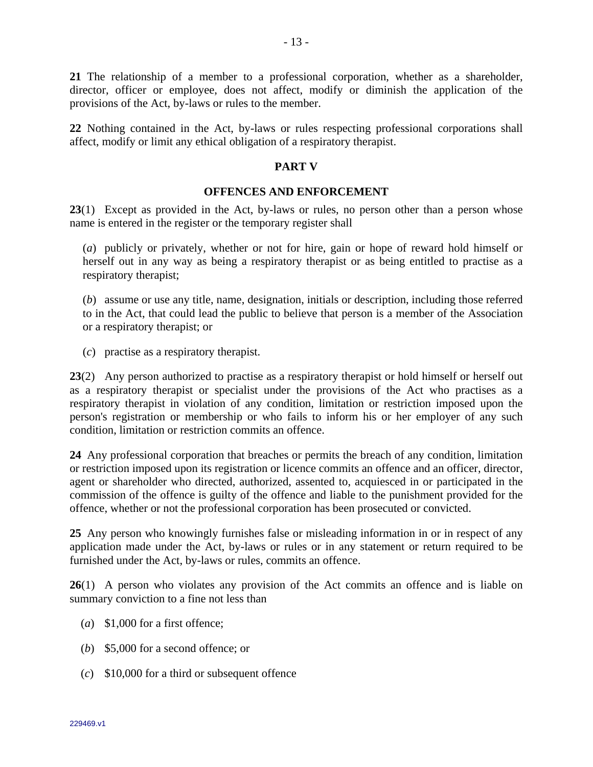**21** The relationship of a member to a professional corporation, whether as a shareholder, director, officer or employee, does not affect, modify or diminish the application of the provisions of the Act, by-laws or rules to the member.

**22** Nothing contained in the Act, by-laws or rules respecting professional corporations shall affect, modify or limit any ethical obligation of a respiratory therapist.

### **PART V**

### **OFFENCES AND ENFORCEMENT**

**23**(1) Except as provided in the Act, by-laws or rules, no person other than a person whose name is entered in the register or the temporary register shall

(*a*) publicly or privately, whether or not for hire, gain or hope of reward hold himself or herself out in any way as being a respiratory therapist or as being entitled to practise as a respiratory therapist;

(*b*) assume or use any title, name, designation, initials or description, including those referred to in the Act, that could lead the public to believe that person is a member of the Association or a respiratory therapist; or

(*c*) practise as a respiratory therapist.

**23**(2) Any person authorized to practise as a respiratory therapist or hold himself or herself out as a respiratory therapist or specialist under the provisions of the Act who practises as a respiratory therapist in violation of any condition, limitation or restriction imposed upon the person's registration or membership or who fails to inform his or her employer of any such condition, limitation or restriction commits an offence.

**24** Any professional corporation that breaches or permits the breach of any condition, limitation or restriction imposed upon its registration or licence commits an offence and an officer, director, agent or shareholder who directed, authorized, assented to, acquiesced in or participated in the commission of the offence is guilty of the offence and liable to the punishment provided for the offence, whether or not the professional corporation has been prosecuted or convicted.

**25** Any person who knowingly furnishes false or misleading information in or in respect of any application made under the Act, by-laws or rules or in any statement or return required to be furnished under the Act, by-laws or rules, commits an offence.

**26**(1) A person who violates any provision of the Act commits an offence and is liable on summary conviction to a fine not less than

- (*a*) \$1,000 for a first offence;
- (*b*) \$5,000 for a second offence; or
- (*c*) \$10,000 for a third or subsequent offence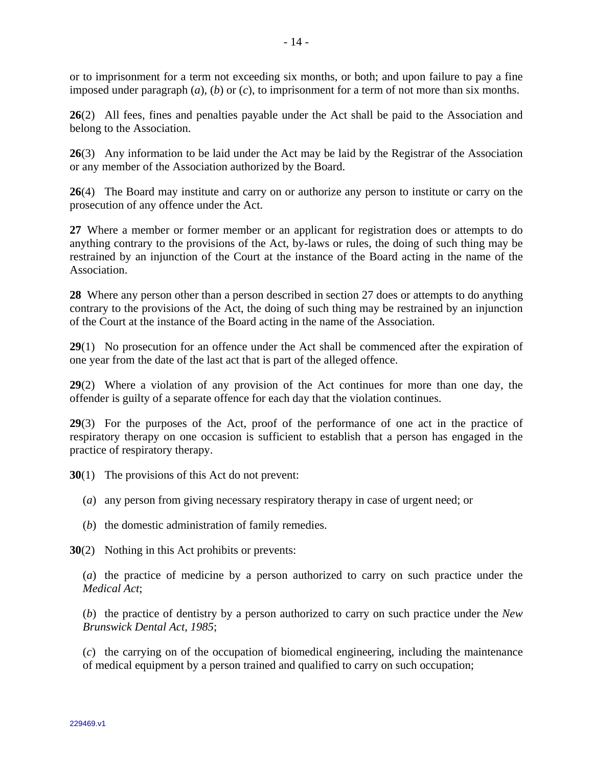or to imprisonment for a term not exceeding six months, or both; and upon failure to pay a fine imposed under paragraph (*a*), (*b*) or (*c*), to imprisonment for a term of not more than six months.

**26**(2) All fees, fines and penalties payable under the Act shall be paid to the Association and belong to the Association.

**26**(3) Any information to be laid under the Act may be laid by the Registrar of the Association or any member of the Association authorized by the Board.

**26**(4) The Board may institute and carry on or authorize any person to institute or carry on the prosecution of any offence under the Act.

**27** Where a member or former member or an applicant for registration does or attempts to do anything contrary to the provisions of the Act, by-laws or rules, the doing of such thing may be restrained by an injunction of the Court at the instance of the Board acting in the name of the Association.

**28** Where any person other than a person described in section 27 does or attempts to do anything contrary to the provisions of the Act, the doing of such thing may be restrained by an injunction of the Court at the instance of the Board acting in the name of the Association.

**29**(1) No prosecution for an offence under the Act shall be commenced after the expiration of one year from the date of the last act that is part of the alleged offence.

**29**(2) Where a violation of any provision of the Act continues for more than one day, the offender is guilty of a separate offence for each day that the violation continues.

**29**(3) For the purposes of the Act, proof of the performance of one act in the practice of respiratory therapy on one occasion is sufficient to establish that a person has engaged in the practice of respiratory therapy.

**30**(1) The provisions of this Act do not prevent:

- (*a*) any person from giving necessary respiratory therapy in case of urgent need; or
- (*b*) the domestic administration of family remedies.

**30**(2) Nothing in this Act prohibits or prevents:

(*a*) the practice of medicine by a person authorized to carry on such practice under the *Medical Act*;

(*b*) the practice of dentistry by a person authorized to carry on such practice under the *New Brunswick Dental Act, 1985*;

(*c*) the carrying on of the occupation of biomedical engineering, including the maintenance of medical equipment by a person trained and qualified to carry on such occupation;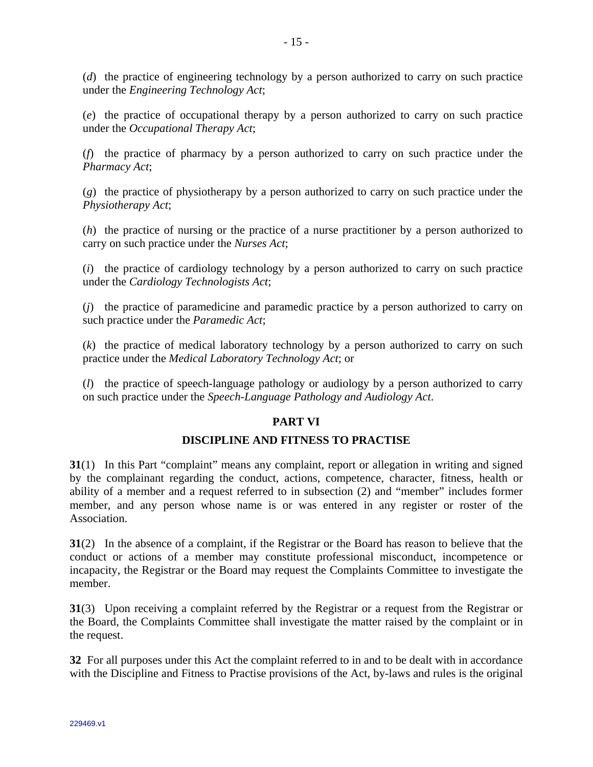(*d*) the practice of engineering technology by a person authorized to carry on such practice under the *Engineering Technology Act*;

(*e*) the practice of occupational therapy by a person authorized to carry on such practice under the *Occupational Therapy Act*;

(*f*) the practice of pharmacy by a person authorized to carry on such practice under the *Pharmacy Act*;

(*g*) the practice of physiotherapy by a person authorized to carry on such practice under the *Physiotherapy Act*;

(*h*) the practice of nursing or the practice of a nurse practitioner by a person authorized to carry on such practice under the *Nurses Act*;

(*i*) the practice of cardiology technology by a person authorized to carry on such practice under the *Cardiology Technologists Act*;

(*j*) the practice of paramedicine and paramedic practice by a person authorized to carry on such practice under the *Paramedic Act*;

(*k*) the practice of medical laboratory technology by a person authorized to carry on such practice under the *Medical Laboratory Technology Act*; or

(*l*) the practice of speech-language pathology or audiology by a person authorized to carry on such practice under the *Speech-Language Pathology and Audiology Act*.

## **PART VI**

### **DISCIPLINE AND FITNESS TO PRACTISE**

**31**(1) In this Part "complaint" means any complaint, report or allegation in writing and signed by the complainant regarding the conduct, actions, competence, character, fitness, health or ability of a member and a request referred to in subsection (2) and "member" includes former member, and any person whose name is or was entered in any register or roster of the Association.

**31**(2) In the absence of a complaint, if the Registrar or the Board has reason to believe that the conduct or actions of a member may constitute professional misconduct, incompetence or incapacity, the Registrar or the Board may request the Complaints Committee to investigate the member.

**31**(3) Upon receiving a complaint referred by the Registrar or a request from the Registrar or the Board, the Complaints Committee shall investigate the matter raised by the complaint or in the request.

**32** For all purposes under this Act the complaint referred to in and to be dealt with in accordance with the Discipline and Fitness to Practise provisions of the Act, by-laws and rules is the original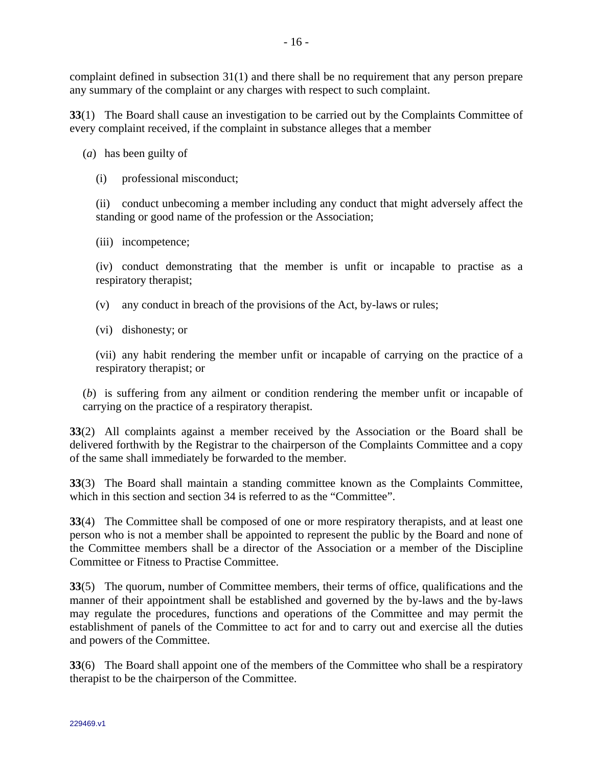complaint defined in subsection 31(1) and there shall be no requirement that any person prepare

any summary of the complaint or any charges with respect to such complaint.

**33**(1) The Board shall cause an investigation to be carried out by the Complaints Committee of every complaint received, if the complaint in substance alleges that a member

(*a*) has been guilty of

(i) professional misconduct;

(ii) conduct unbecoming a member including any conduct that might adversely affect the standing or good name of the profession or the Association;

(iii) incompetence;

(iv) conduct demonstrating that the member is unfit or incapable to practise as a respiratory therapist;

(v) any conduct in breach of the provisions of the Act, by-laws or rules;

(vi) dishonesty; or

(vii) any habit rendering the member unfit or incapable of carrying on the practice of a respiratory therapist; or

(*b*) is suffering from any ailment or condition rendering the member unfit or incapable of carrying on the practice of a respiratory therapist.

**33**(2) All complaints against a member received by the Association or the Board shall be delivered forthwith by the Registrar to the chairperson of the Complaints Committee and a copy of the same shall immediately be forwarded to the member.

**33**(3) The Board shall maintain a standing committee known as the Complaints Committee, which in this section and section 34 is referred to as the "Committee".

**33**(4) The Committee shall be composed of one or more respiratory therapists, and at least one person who is not a member shall be appointed to represent the public by the Board and none of the Committee members shall be a director of the Association or a member of the Discipline Committee or Fitness to Practise Committee.

**33**(5) The quorum, number of Committee members, their terms of office, qualifications and the manner of their appointment shall be established and governed by the by-laws and the by-laws may regulate the procedures, functions and operations of the Committee and may permit the establishment of panels of the Committee to act for and to carry out and exercise all the duties and powers of the Committee.

**33**(6) The Board shall appoint one of the members of the Committee who shall be a respiratory therapist to be the chairperson of the Committee.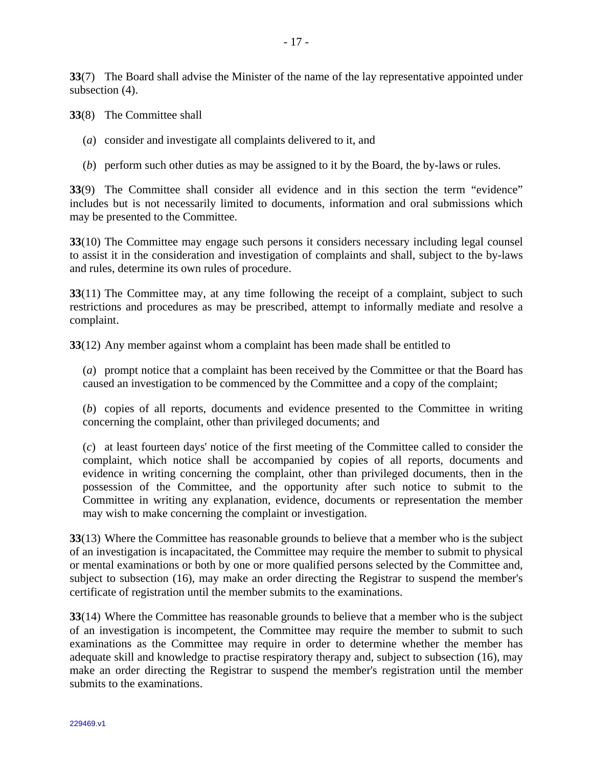**33**(7) The Board shall advise the Minister of the name of the lay representative appointed under subsection (4).

**33**(8) The Committee shall

- (*a*) consider and investigate all complaints delivered to it, and
- (*b*) perform such other duties as may be assigned to it by the Board, the by-laws or rules.

**33**(9) The Committee shall consider all evidence and in this section the term "evidence" includes but is not necessarily limited to documents, information and oral submissions which may be presented to the Committee.

**33**(10) The Committee may engage such persons it considers necessary including legal counsel to assist it in the consideration and investigation of complaints and shall, subject to the by-laws and rules, determine its own rules of procedure.

**33**(11) The Committee may, at any time following the receipt of a complaint, subject to such restrictions and procedures as may be prescribed, attempt to informally mediate and resolve a complaint.

**33**(12) Any member against whom a complaint has been made shall be entitled to

(*a*) prompt notice that a complaint has been received by the Committee or that the Board has caused an investigation to be commenced by the Committee and a copy of the complaint;

(*b*) copies of all reports, documents and evidence presented to the Committee in writing concerning the complaint, other than privileged documents; and

(*c*) at least fourteen days' notice of the first meeting of the Committee called to consider the complaint, which notice shall be accompanied by copies of all reports, documents and evidence in writing concerning the complaint, other than privileged documents, then in the possession of the Committee, and the opportunity after such notice to submit to the Committee in writing any explanation, evidence, documents or representation the member may wish to make concerning the complaint or investigation.

**33**(13) Where the Committee has reasonable grounds to believe that a member who is the subject of an investigation is incapacitated, the Committee may require the member to submit to physical or mental examinations or both by one or more qualified persons selected by the Committee and, subject to subsection (16), may make an order directing the Registrar to suspend the member's certificate of registration until the member submits to the examinations.

**33**(14) Where the Committee has reasonable grounds to believe that a member who is the subject of an investigation is incompetent, the Committee may require the member to submit to such examinations as the Committee may require in order to determine whether the member has adequate skill and knowledge to practise respiratory therapy and, subject to subsection (16), may make an order directing the Registrar to suspend the member's registration until the member submits to the examinations.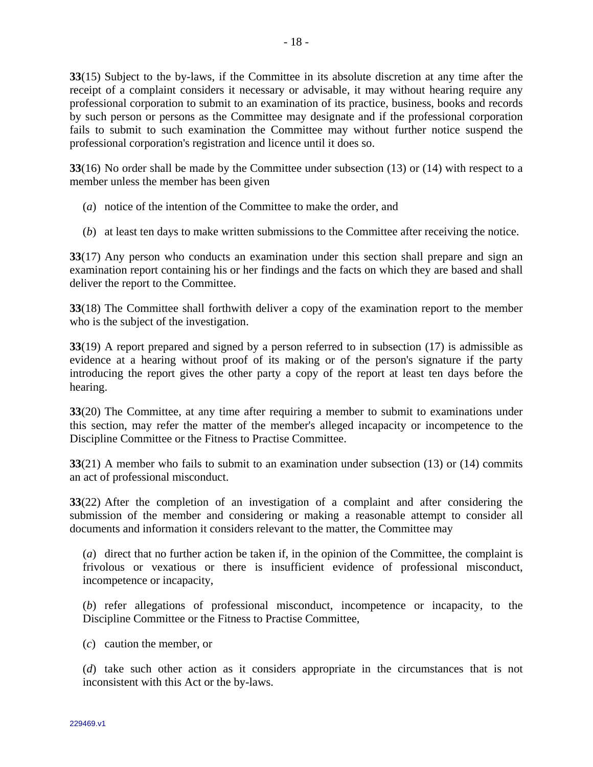**33**(15) Subject to the by-laws, if the Committee in its absolute discretion at any time after the receipt of a complaint considers it necessary or advisable, it may without hearing require any professional corporation to submit to an examination of its practice, business, books and records by such person or persons as the Committee may designate and if the professional corporation fails to submit to such examination the Committee may without further notice suspend the professional corporation's registration and licence until it does so.

**33**(16) No order shall be made by the Committee under subsection (13) or (14) with respect to a member unless the member has been given

- (*a*) notice of the intention of the Committee to make the order, and
- (*b*) at least ten days to make written submissions to the Committee after receiving the notice.

**33**(17) Any person who conducts an examination under this section shall prepare and sign an examination report containing his or her findings and the facts on which they are based and shall deliver the report to the Committee.

**33**(18) The Committee shall forthwith deliver a copy of the examination report to the member who is the subject of the investigation.

**33**(19) A report prepared and signed by a person referred to in subsection (17) is admissible as evidence at a hearing without proof of its making or of the person's signature if the party introducing the report gives the other party a copy of the report at least ten days before the hearing.

**33**(20) The Committee, at any time after requiring a member to submit to examinations under this section, may refer the matter of the member's alleged incapacity or incompetence to the Discipline Committee or the Fitness to Practise Committee.

**33**(21) A member who fails to submit to an examination under subsection (13) or (14) commits an act of professional misconduct.

**33**(22) After the completion of an investigation of a complaint and after considering the submission of the member and considering or making a reasonable attempt to consider all documents and information it considers relevant to the matter, the Committee may

(*a*) direct that no further action be taken if, in the opinion of the Committee, the complaint is frivolous or vexatious or there is insufficient evidence of professional misconduct, incompetence or incapacity,

(*b*) refer allegations of professional misconduct, incompetence or incapacity, to the Discipline Committee or the Fitness to Practise Committee,

(*c*) caution the member, or

(*d*) take such other action as it considers appropriate in the circumstances that is not inconsistent with this Act or the by-laws.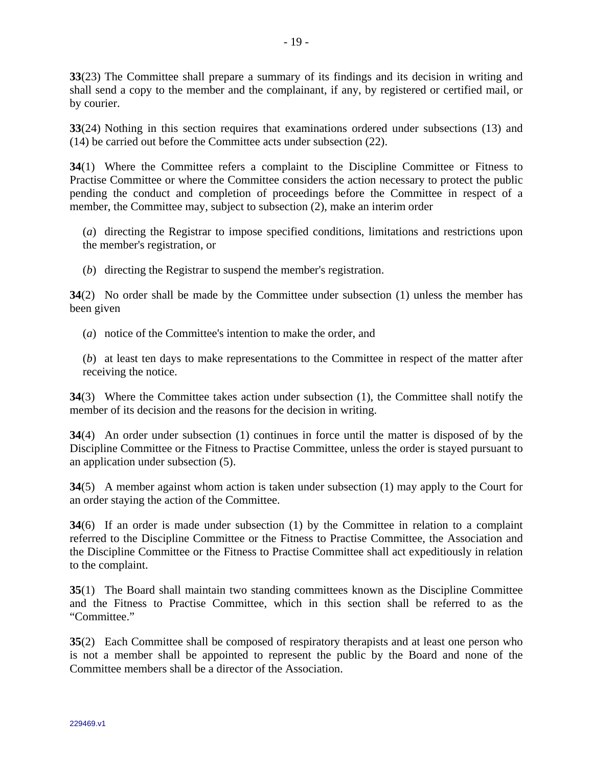**33**(23) The Committee shall prepare a summary of its findings and its decision in writing and shall send a copy to the member and the complainant, if any, by registered or certified mail, or by courier.

**33**(24) Nothing in this section requires that examinations ordered under subsections (13) and (14) be carried out before the Committee acts under subsection (22).

**34**(1) Where the Committee refers a complaint to the Discipline Committee or Fitness to Practise Committee or where the Committee considers the action necessary to protect the public pending the conduct and completion of proceedings before the Committee in respect of a member, the Committee may, subject to subsection (2), make an interim order

(*a*) directing the Registrar to impose specified conditions, limitations and restrictions upon the member's registration, or

(*b*) directing the Registrar to suspend the member's registration.

**34**(2) No order shall be made by the Committee under subsection (1) unless the member has been given

(*a*) notice of the Committee's intention to make the order, and

(*b*) at least ten days to make representations to the Committee in respect of the matter after receiving the notice.

**34**(3) Where the Committee takes action under subsection (1), the Committee shall notify the member of its decision and the reasons for the decision in writing.

**34**(4) An order under subsection (1) continues in force until the matter is disposed of by the Discipline Committee or the Fitness to Practise Committee, unless the order is stayed pursuant to an application under subsection (5).

**34**(5) A member against whom action is taken under subsection (1) may apply to the Court for an order staying the action of the Committee.

**34**(6) If an order is made under subsection (1) by the Committee in relation to a complaint referred to the Discipline Committee or the Fitness to Practise Committee, the Association and the Discipline Committee or the Fitness to Practise Committee shall act expeditiously in relation to the complaint.

**35**(1) The Board shall maintain two standing committees known as the Discipline Committee and the Fitness to Practise Committee, which in this section shall be referred to as the "Committee."

**35**(2) Each Committee shall be composed of respiratory therapists and at least one person who is not a member shall be appointed to represent the public by the Board and none of the Committee members shall be a director of the Association.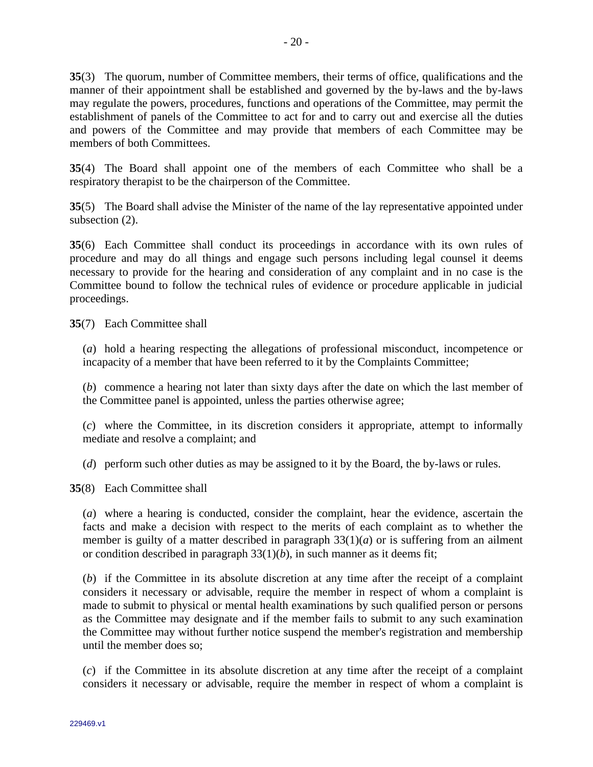**35**(3) The quorum, number of Committee members, their terms of office, qualifications and the manner of their appointment shall be established and governed by the by-laws and the by-laws may regulate the powers, procedures, functions and operations of the Committee, may permit the establishment of panels of the Committee to act for and to carry out and exercise all the duties and powers of the Committee and may provide that members of each Committee may be members of both Committees.

**35**(4) The Board shall appoint one of the members of each Committee who shall be a respiratory therapist to be the chairperson of the Committee.

**35**(5) The Board shall advise the Minister of the name of the lay representative appointed under subsection (2).

**35**(6) Each Committee shall conduct its proceedings in accordance with its own rules of procedure and may do all things and engage such persons including legal counsel it deems necessary to provide for the hearing and consideration of any complaint and in no case is the Committee bound to follow the technical rules of evidence or procedure applicable in judicial proceedings.

**35**(7) Each Committee shall

(*a*) hold a hearing respecting the allegations of professional misconduct, incompetence or incapacity of a member that have been referred to it by the Complaints Committee;

(*b*) commence a hearing not later than sixty days after the date on which the last member of the Committee panel is appointed, unless the parties otherwise agree;

(*c*) where the Committee, in its discretion considers it appropriate, attempt to informally mediate and resolve a complaint; and

(*d*) perform such other duties as may be assigned to it by the Board, the by-laws or rules.

**35**(8) Each Committee shall

(*a*) where a hearing is conducted, consider the complaint, hear the evidence, ascertain the facts and make a decision with respect to the merits of each complaint as to whether the member is guilty of a matter described in paragraph  $33(1)(a)$  or is suffering from an ailment or condition described in paragraph 33(1)(*b*), in such manner as it deems fit;

(*b*) if the Committee in its absolute discretion at any time after the receipt of a complaint considers it necessary or advisable, require the member in respect of whom a complaint is made to submit to physical or mental health examinations by such qualified person or persons as the Committee may designate and if the member fails to submit to any such examination the Committee may without further notice suspend the member's registration and membership until the member does so;

(*c*) if the Committee in its absolute discretion at any time after the receipt of a complaint considers it necessary or advisable, require the member in respect of whom a complaint is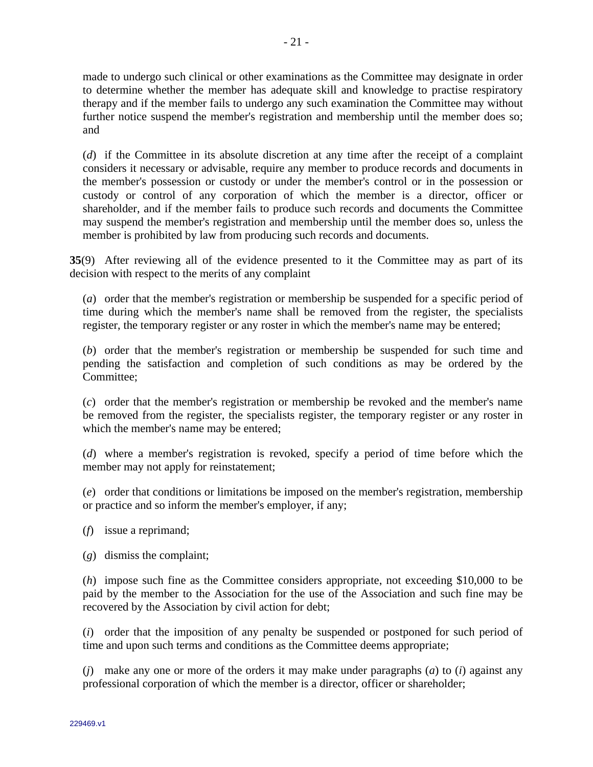made to undergo such clinical or other examinations as the Committee may designate in order to determine whether the member has adequate skill and knowledge to practise respiratory therapy and if the member fails to undergo any such examination the Committee may without further notice suspend the member's registration and membership until the member does so; and

(*d*) if the Committee in its absolute discretion at any time after the receipt of a complaint considers it necessary or advisable, require any member to produce records and documents in the member's possession or custody or under the member's control or in the possession or custody or control of any corporation of which the member is a director, officer or shareholder, and if the member fails to produce such records and documents the Committee may suspend the member's registration and membership until the member does so, unless the member is prohibited by law from producing such records and documents.

**35**(9) After reviewing all of the evidence presented to it the Committee may as part of its decision with respect to the merits of any complaint

(*a*) order that the member's registration or membership be suspended for a specific period of time during which the member's name shall be removed from the register, the specialists register, the temporary register or any roster in which the member's name may be entered;

(*b*) order that the member's registration or membership be suspended for such time and pending the satisfaction and completion of such conditions as may be ordered by the Committee;

(*c*) order that the member's registration or membership be revoked and the member's name be removed from the register, the specialists register, the temporary register or any roster in which the member's name may be entered;

(*d*) where a member's registration is revoked, specify a period of time before which the member may not apply for reinstatement;

(*e*) order that conditions or limitations be imposed on the member's registration, membership or practice and so inform the member's employer, if any;

- (*f*) issue a reprimand;
- (*g*) dismiss the complaint;

(*h*) impose such fine as the Committee considers appropriate, not exceeding \$10,000 to be paid by the member to the Association for the use of the Association and such fine may be recovered by the Association by civil action for debt;

(*i*) order that the imposition of any penalty be suspended or postponed for such period of time and upon such terms and conditions as the Committee deems appropriate;

(*j*) make any one or more of the orders it may make under paragraphs (*a*) to (*i*) against any professional corporation of which the member is a director, officer or shareholder;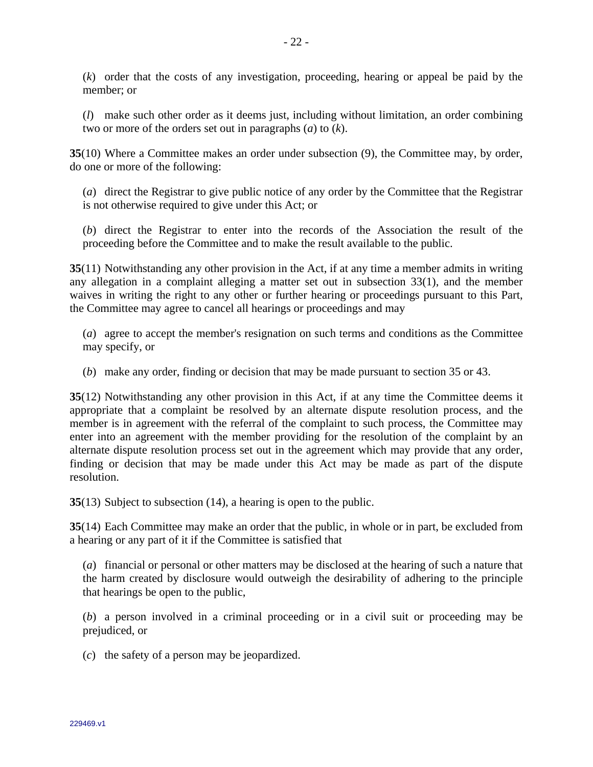(*k*) order that the costs of any investigation, proceeding, hearing or appeal be paid by the member; or

(*l*) make such other order as it deems just, including without limitation, an order combining two or more of the orders set out in paragraphs (*a*) to (*k*).

**35**(10) Where a Committee makes an order under subsection (9), the Committee may, by order, do one or more of the following:

(*a*) direct the Registrar to give public notice of any order by the Committee that the Registrar is not otherwise required to give under this Act; or

(*b*) direct the Registrar to enter into the records of the Association the result of the proceeding before the Committee and to make the result available to the public.

**35**(11) Notwithstanding any other provision in the Act, if at any time a member admits in writing any allegation in a complaint alleging a matter set out in subsection 33(1), and the member waives in writing the right to any other or further hearing or proceedings pursuant to this Part, the Committee may agree to cancel all hearings or proceedings and may

(*a*) agree to accept the member's resignation on such terms and conditions as the Committee may specify, or

(*b*) make any order, finding or decision that may be made pursuant to section 35 or 43.

**35**(12) Notwithstanding any other provision in this Act, if at any time the Committee deems it appropriate that a complaint be resolved by an alternate dispute resolution process, and the member is in agreement with the referral of the complaint to such process, the Committee may enter into an agreement with the member providing for the resolution of the complaint by an alternate dispute resolution process set out in the agreement which may provide that any order, finding or decision that may be made under this Act may be made as part of the dispute resolution.

**35**(13) Subject to subsection (14), a hearing is open to the public.

**35**(14) Each Committee may make an order that the public, in whole or in part, be excluded from a hearing or any part of it if the Committee is satisfied that

(*a*) financial or personal or other matters may be disclosed at the hearing of such a nature that the harm created by disclosure would outweigh the desirability of adhering to the principle that hearings be open to the public,

(*b*) a person involved in a criminal proceeding or in a civil suit or proceeding may be prejudiced, or

(*c*) the safety of a person may be jeopardized.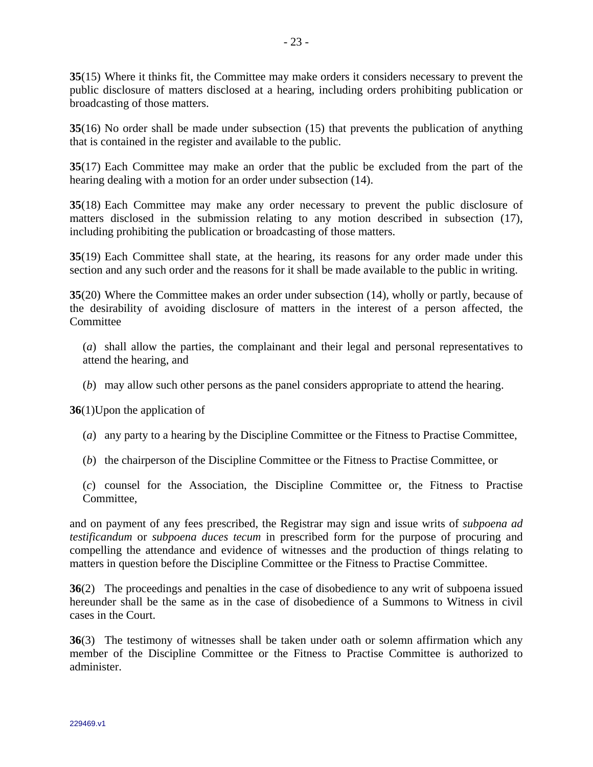**35**(15) Where it thinks fit, the Committee may make orders it considers necessary to prevent the public disclosure of matters disclosed at a hearing, including orders prohibiting publication or broadcasting of those matters.

**35**(16) No order shall be made under subsection (15) that prevents the publication of anything that is contained in the register and available to the public.

**35**(17) Each Committee may make an order that the public be excluded from the part of the hearing dealing with a motion for an order under subsection (14).

**35**(18) Each Committee may make any order necessary to prevent the public disclosure of matters disclosed in the submission relating to any motion described in subsection (17), including prohibiting the publication or broadcasting of those matters.

**35**(19) Each Committee shall state, at the hearing, its reasons for any order made under this section and any such order and the reasons for it shall be made available to the public in writing.

**35**(20) Where the Committee makes an order under subsection (14), wholly or partly, because of the desirability of avoiding disclosure of matters in the interest of a person affected, the **Committee** 

(*a*) shall allow the parties, the complainant and their legal and personal representatives to attend the hearing, and

(*b*) may allow such other persons as the panel considers appropriate to attend the hearing.

**36**(1)Upon the application of

- (*a*) any party to a hearing by the Discipline Committee or the Fitness to Practise Committee,
- (*b*) the chairperson of the Discipline Committee or the Fitness to Practise Committee, or

(*c*) counsel for the Association, the Discipline Committee or, the Fitness to Practise Committee,

and on payment of any fees prescribed, the Registrar may sign and issue writs of *subpoena ad testificandum* or *subpoena duces tecum* in prescribed form for the purpose of procuring and compelling the attendance and evidence of witnesses and the production of things relating to matters in question before the Discipline Committee or the Fitness to Practise Committee.

**36**(2) The proceedings and penalties in the case of disobedience to any writ of subpoena issued hereunder shall be the same as in the case of disobedience of a Summons to Witness in civil cases in the Court.

**36**(3) The testimony of witnesses shall be taken under oath or solemn affirmation which any member of the Discipline Committee or the Fitness to Practise Committee is authorized to administer.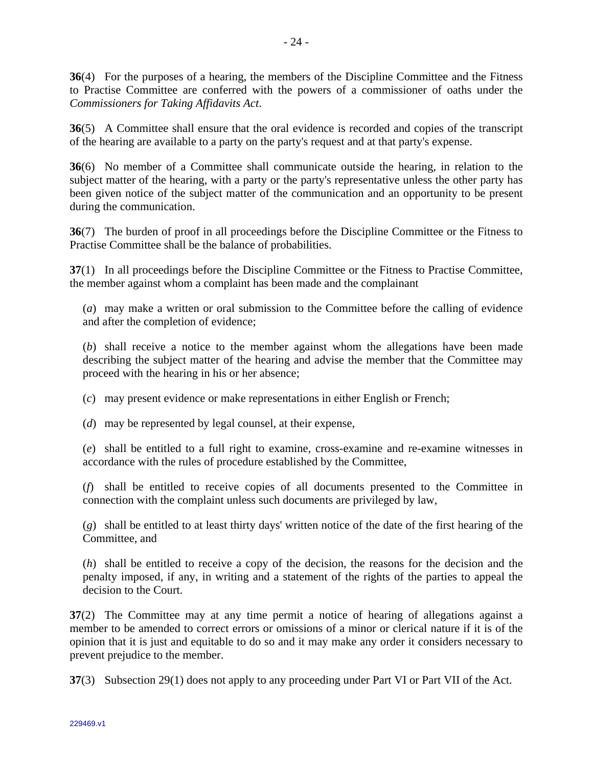**36**(4) For the purposes of a hearing, the members of the Discipline Committee and the Fitness to Practise Committee are conferred with the powers of a commissioner of oaths under the *Commissioners for Taking Affidavits Act*.

**36**(5) A Committee shall ensure that the oral evidence is recorded and copies of the transcript of the hearing are available to a party on the party's request and at that party's expense.

**36**(6) No member of a Committee shall communicate outside the hearing, in relation to the subject matter of the hearing, with a party or the party's representative unless the other party has been given notice of the subject matter of the communication and an opportunity to be present during the communication.

**36**(7) The burden of proof in all proceedings before the Discipline Committee or the Fitness to Practise Committee shall be the balance of probabilities.

**37**(1) In all proceedings before the Discipline Committee or the Fitness to Practise Committee, the member against whom a complaint has been made and the complainant

(*a*) may make a written or oral submission to the Committee before the calling of evidence and after the completion of evidence;

(*b*) shall receive a notice to the member against whom the allegations have been made describing the subject matter of the hearing and advise the member that the Committee may proceed with the hearing in his or her absence;

(*c*) may present evidence or make representations in either English or French;

(*d*) may be represented by legal counsel, at their expense,

(*e*) shall be entitled to a full right to examine, cross-examine and re-examine witnesses in accordance with the rules of procedure established by the Committee,

(*f*) shall be entitled to receive copies of all documents presented to the Committee in connection with the complaint unless such documents are privileged by law,

(*g*) shall be entitled to at least thirty days' written notice of the date of the first hearing of the Committee, and

(*h*) shall be entitled to receive a copy of the decision, the reasons for the decision and the penalty imposed, if any, in writing and a statement of the rights of the parties to appeal the decision to the Court.

**37**(2) The Committee may at any time permit a notice of hearing of allegations against a member to be amended to correct errors or omissions of a minor or clerical nature if it is of the opinion that it is just and equitable to do so and it may make any order it considers necessary to prevent prejudice to the member.

**37**(3) Subsection 29(1) does not apply to any proceeding under Part VI or Part VII of the Act.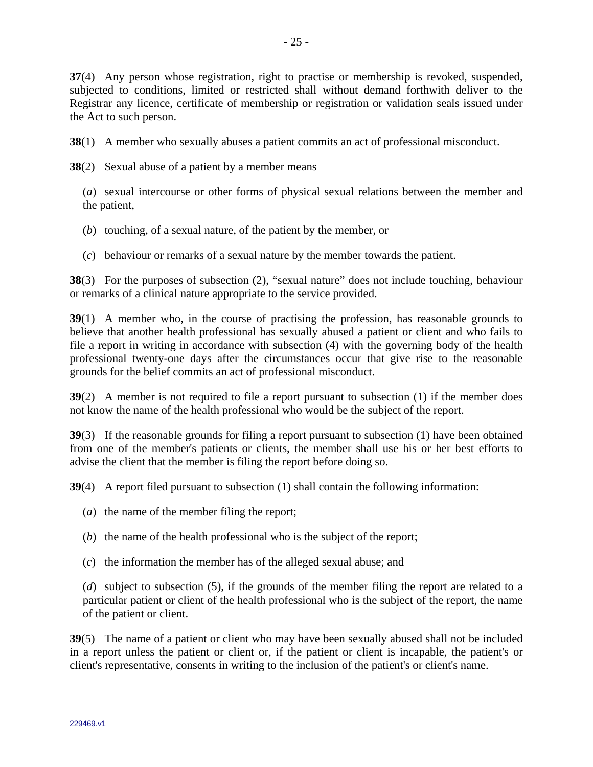**37**(4) Any person whose registration, right to practise or membership is revoked, suspended, subjected to conditions, limited or restricted shall without demand forthwith deliver to the Registrar any licence, certificate of membership or registration or validation seals issued under the Act to such person.

**38**(1) A member who sexually abuses a patient commits an act of professional misconduct.

**38**(2) Sexual abuse of a patient by a member means

(*a*) sexual intercourse or other forms of physical sexual relations between the member and the patient,

- (*b*) touching, of a sexual nature, of the patient by the member, or
- (*c*) behaviour or remarks of a sexual nature by the member towards the patient.

**38**(3) For the purposes of subsection (2), "sexual nature" does not include touching, behaviour or remarks of a clinical nature appropriate to the service provided.

**39**(1) A member who, in the course of practising the profession, has reasonable grounds to believe that another health professional has sexually abused a patient or client and who fails to file a report in writing in accordance with subsection (4) with the governing body of the health professional twenty-one days after the circumstances occur that give rise to the reasonable grounds for the belief commits an act of professional misconduct.

**39**(2) A member is not required to file a report pursuant to subsection (1) if the member does not know the name of the health professional who would be the subject of the report.

**39**(3) If the reasonable grounds for filing a report pursuant to subsection (1) have been obtained from one of the member's patients or clients, the member shall use his or her best efforts to advise the client that the member is filing the report before doing so.

**39**(4) A report filed pursuant to subsection (1) shall contain the following information:

- (*a*) the name of the member filing the report;
- (*b*) the name of the health professional who is the subject of the report;
- (*c*) the information the member has of the alleged sexual abuse; and

(*d*) subject to subsection (5), if the grounds of the member filing the report are related to a particular patient or client of the health professional who is the subject of the report, the name of the patient or client.

**39**(5) The name of a patient or client who may have been sexually abused shall not be included in a report unless the patient or client or, if the patient or client is incapable, the patient's or client's representative, consents in writing to the inclusion of the patient's or client's name.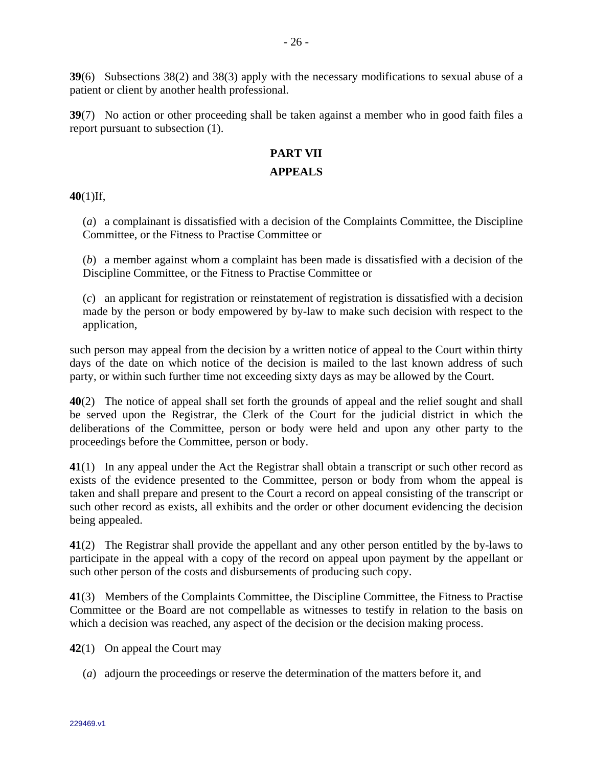**39**(6) Subsections 38(2) and 38(3) apply with the necessary modifications to sexual abuse of a patient or client by another health professional.

**39**(7) No action or other proceeding shall be taken against a member who in good faith files a report pursuant to subsection (1).

## **PART VII**

### **APPEALS**

**40**(1)If,

(*a*) a complainant is dissatisfied with a decision of the Complaints Committee, the Discipline Committee, or the Fitness to Practise Committee or

(*b*) a member against whom a complaint has been made is dissatisfied with a decision of the Discipline Committee, or the Fitness to Practise Committee or

(*c*) an applicant for registration or reinstatement of registration is dissatisfied with a decision made by the person or body empowered by by-law to make such decision with respect to the application,

such person may appeal from the decision by a written notice of appeal to the Court within thirty days of the date on which notice of the decision is mailed to the last known address of such party, or within such further time not exceeding sixty days as may be allowed by the Court.

**40**(2) The notice of appeal shall set forth the grounds of appeal and the relief sought and shall be served upon the Registrar, the Clerk of the Court for the judicial district in which the deliberations of the Committee, person or body were held and upon any other party to the proceedings before the Committee, person or body.

**41**(1) In any appeal under the Act the Registrar shall obtain a transcript or such other record as exists of the evidence presented to the Committee, person or body from whom the appeal is taken and shall prepare and present to the Court a record on appeal consisting of the transcript or such other record as exists, all exhibits and the order or other document evidencing the decision being appealed.

**41**(2) The Registrar shall provide the appellant and any other person entitled by the by-laws to participate in the appeal with a copy of the record on appeal upon payment by the appellant or such other person of the costs and disbursements of producing such copy.

**41**(3) Members of the Complaints Committee, the Discipline Committee, the Fitness to Practise Committee or the Board are not compellable as witnesses to testify in relation to the basis on which a decision was reached, any aspect of the decision or the decision making process.

**42**(1) On appeal the Court may

(*a*) adjourn the proceedings or reserve the determination of the matters before it, and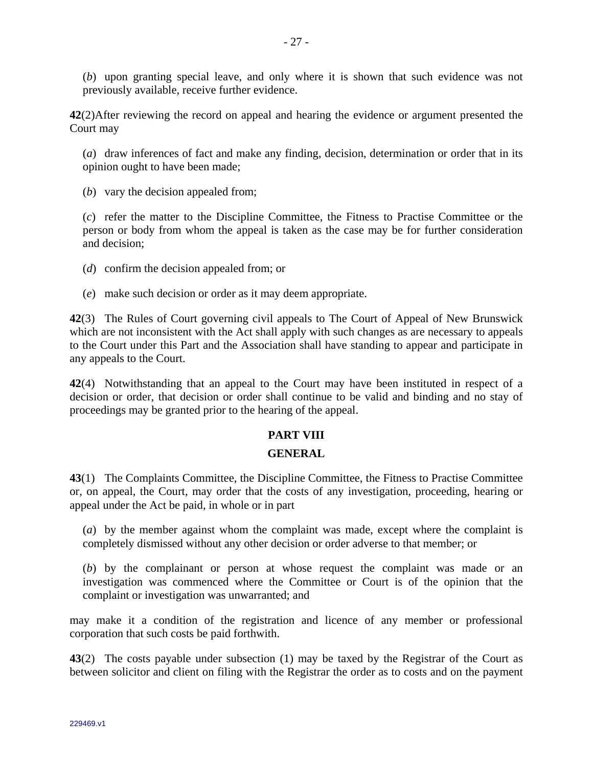(*b*) upon granting special leave, and only where it is shown that such evidence was not previously available, receive further evidence.

**42**(2)After reviewing the record on appeal and hearing the evidence or argument presented the Court may

(*a*) draw inferences of fact and make any finding, decision, determination or order that in its opinion ought to have been made;

(*b*) vary the decision appealed from;

(*c*) refer the matter to the Discipline Committee, the Fitness to Practise Committee or the person or body from whom the appeal is taken as the case may be for further consideration and decision;

(*d*) confirm the decision appealed from; or

(*e*) make such decision or order as it may deem appropriate.

**42**(3) The Rules of Court governing civil appeals to The Court of Appeal of New Brunswick which are not inconsistent with the Act shall apply with such changes as are necessary to appeals to the Court under this Part and the Association shall have standing to appear and participate in any appeals to the Court.

**42**(4) Notwithstanding that an appeal to the Court may have been instituted in respect of a decision or order, that decision or order shall continue to be valid and binding and no stay of proceedings may be granted prior to the hearing of the appeal.

## **PART VIII**

### **GENERAL**

**43**(1) The Complaints Committee, the Discipline Committee, the Fitness to Practise Committee or, on appeal, the Court, may order that the costs of any investigation, proceeding, hearing or appeal under the Act be paid, in whole or in part

(*a*) by the member against whom the complaint was made, except where the complaint is completely dismissed without any other decision or order adverse to that member; or

(*b*) by the complainant or person at whose request the complaint was made or an investigation was commenced where the Committee or Court is of the opinion that the complaint or investigation was unwarranted; and

may make it a condition of the registration and licence of any member or professional corporation that such costs be paid forthwith.

**43**(2) The costs payable under subsection (1) may be taxed by the Registrar of the Court as between solicitor and client on filing with the Registrar the order as to costs and on the payment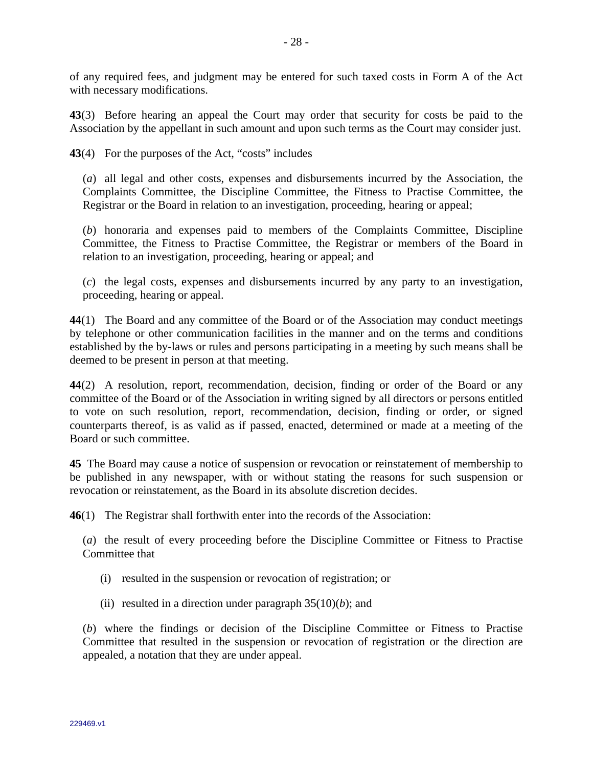of any required fees, and judgment may be entered for such taxed costs in Form A of the Act with necessary modifications.

**43**(3) Before hearing an appeal the Court may order that security for costs be paid to the Association by the appellant in such amount and upon such terms as the Court may consider just.

**43**(4) For the purposes of the Act, "costs" includes

(*a*) all legal and other costs, expenses and disbursements incurred by the Association, the Complaints Committee, the Discipline Committee, the Fitness to Practise Committee, the Registrar or the Board in relation to an investigation, proceeding, hearing or appeal;

(*b*) honoraria and expenses paid to members of the Complaints Committee, Discipline Committee, the Fitness to Practise Committee, the Registrar or members of the Board in relation to an investigation, proceeding, hearing or appeal; and

(*c*) the legal costs, expenses and disbursements incurred by any party to an investigation, proceeding, hearing or appeal.

**44**(1) The Board and any committee of the Board or of the Association may conduct meetings by telephone or other communication facilities in the manner and on the terms and conditions established by the by-laws or rules and persons participating in a meeting by such means shall be deemed to be present in person at that meeting.

**44**(2) A resolution, report, recommendation, decision, finding or order of the Board or any committee of the Board or of the Association in writing signed by all directors or persons entitled to vote on such resolution, report, recommendation, decision, finding or order, or signed counterparts thereof, is as valid as if passed, enacted, determined or made at a meeting of the Board or such committee.

**45** The Board may cause a notice of suspension or revocation or reinstatement of membership to be published in any newspaper, with or without stating the reasons for such suspension or revocation or reinstatement, as the Board in its absolute discretion decides.

**46**(1) The Registrar shall forthwith enter into the records of the Association:

(*a*) the result of every proceeding before the Discipline Committee or Fitness to Practise Committee that

- (i) resulted in the suspension or revocation of registration; or
- (ii) resulted in a direction under paragraph  $35(10)(b)$ ; and

(*b*) where the findings or decision of the Discipline Committee or Fitness to Practise Committee that resulted in the suspension or revocation of registration or the direction are appealed, a notation that they are under appeal.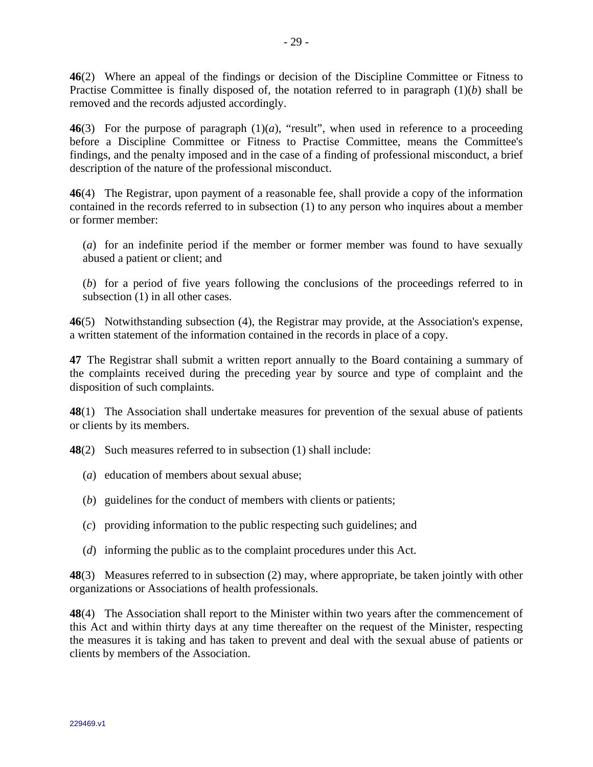**46**(2) Where an appeal of the findings or decision of the Discipline Committee or Fitness to Practise Committee is finally disposed of, the notation referred to in paragraph (1)(*b*) shall be removed and the records adjusted accordingly.

**46**(3) For the purpose of paragraph (1)(*a*), "result", when used in reference to a proceeding before a Discipline Committee or Fitness to Practise Committee, means the Committee's findings, and the penalty imposed and in the case of a finding of professional misconduct, a brief description of the nature of the professional misconduct.

**46**(4) The Registrar, upon payment of a reasonable fee, shall provide a copy of the information contained in the records referred to in subsection (1) to any person who inquires about a member or former member:

(*a*) for an indefinite period if the member or former member was found to have sexually abused a patient or client; and

(*b*) for a period of five years following the conclusions of the proceedings referred to in subsection (1) in all other cases.

**46**(5) Notwithstanding subsection (4), the Registrar may provide, at the Association's expense, a written statement of the information contained in the records in place of a copy.

**47** The Registrar shall submit a written report annually to the Board containing a summary of the complaints received during the preceding year by source and type of complaint and the disposition of such complaints.

**48**(1) The Association shall undertake measures for prevention of the sexual abuse of patients or clients by its members.

**48**(2) Such measures referred to in subsection (1) shall include:

- (*a*) education of members about sexual abuse;
- (*b*) guidelines for the conduct of members with clients or patients;
- (*c*) providing information to the public respecting such guidelines; and
- (*d*) informing the public as to the complaint procedures under this Act.

**48**(3) Measures referred to in subsection (2) may, where appropriate, be taken jointly with other organizations or Associations of health professionals.

**48**(4) The Association shall report to the Minister within two years after the commencement of this Act and within thirty days at any time thereafter on the request of the Minister, respecting the measures it is taking and has taken to prevent and deal with the sexual abuse of patients or clients by members of the Association.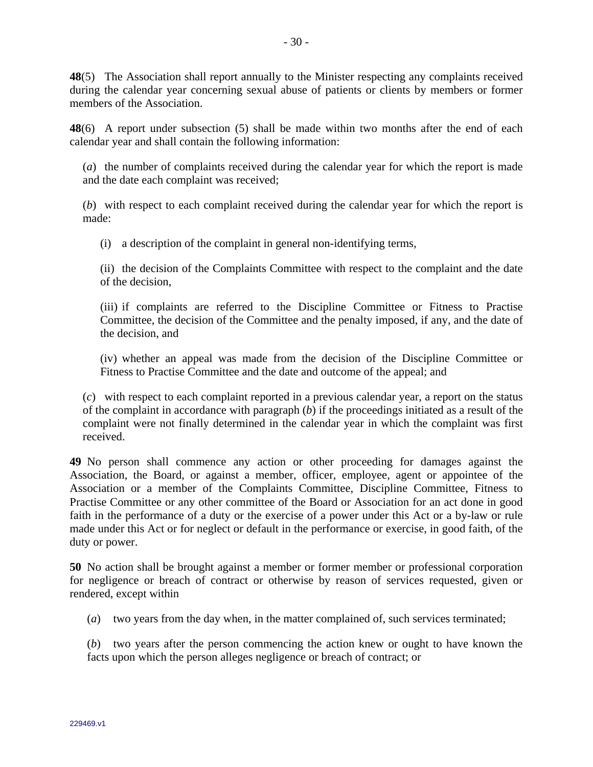**48**(5) The Association shall report annually to the Minister respecting any complaints received during the calendar year concerning sexual abuse of patients or clients by members or former members of the Association.

**48**(6) A report under subsection (5) shall be made within two months after the end of each calendar year and shall contain the following information:

(*a*) the number of complaints received during the calendar year for which the report is made and the date each complaint was received;

(*b*) with respect to each complaint received during the calendar year for which the report is made:

(i) a description of the complaint in general non-identifying terms,

(ii) the decision of the Complaints Committee with respect to the complaint and the date of the decision,

(iii) if complaints are referred to the Discipline Committee or Fitness to Practise Committee, the decision of the Committee and the penalty imposed, if any, and the date of the decision, and

(iv) whether an appeal was made from the decision of the Discipline Committee or Fitness to Practise Committee and the date and outcome of the appeal; and

(*c*) with respect to each complaint reported in a previous calendar year, a report on the status of the complaint in accordance with paragraph (*b*) if the proceedings initiated as a result of the complaint were not finally determined in the calendar year in which the complaint was first received.

**49** No person shall commence any action or other proceeding for damages against the Association, the Board, or against a member, officer, employee, agent or appointee of the Association or a member of the Complaints Committee, Discipline Committee, Fitness to Practise Committee or any other committee of the Board or Association for an act done in good faith in the performance of a duty or the exercise of a power under this Act or a by-law or rule made under this Act or for neglect or default in the performance or exercise, in good faith, of the duty or power.

**50** No action shall be brought against a member or former member or professional corporation for negligence or breach of contract or otherwise by reason of services requested, given or rendered, except within

(*a*) two years from the day when, in the matter complained of, such services terminated;

(*b*) two years after the person commencing the action knew or ought to have known the facts upon which the person alleges negligence or breach of contract; or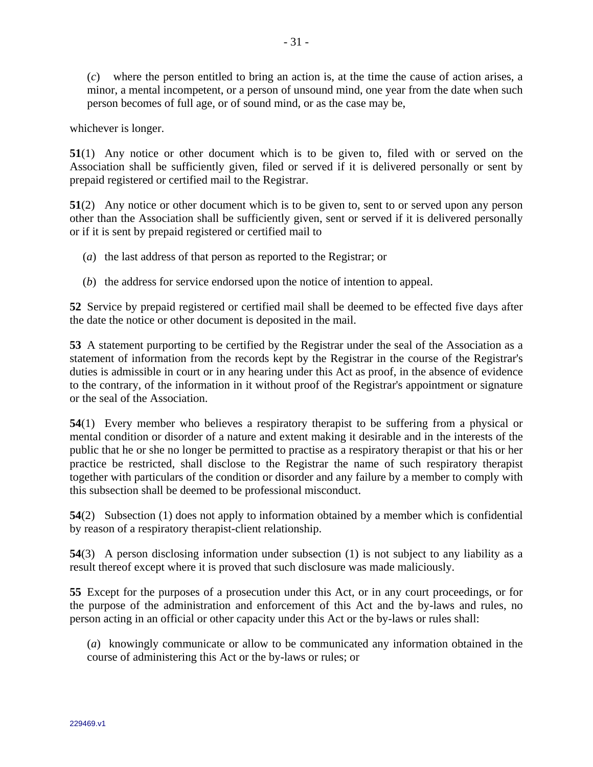(*c*) where the person entitled to bring an action is, at the time the cause of action arises, a minor, a mental incompetent, or a person of unsound mind, one year from the date when such person becomes of full age, or of sound mind, or as the case may be,

whichever is longer.

**51**(1) Any notice or other document which is to be given to, filed with or served on the Association shall be sufficiently given, filed or served if it is delivered personally or sent by prepaid registered or certified mail to the Registrar.

**51**(2) Any notice or other document which is to be given to, sent to or served upon any person other than the Association shall be sufficiently given, sent or served if it is delivered personally or if it is sent by prepaid registered or certified mail to

- (*a*) the last address of that person as reported to the Registrar; or
- (*b*) the address for service endorsed upon the notice of intention to appeal.

**52** Service by prepaid registered or certified mail shall be deemed to be effected five days after the date the notice or other document is deposited in the mail.

**53** A statement purporting to be certified by the Registrar under the seal of the Association as a statement of information from the records kept by the Registrar in the course of the Registrar's duties is admissible in court or in any hearing under this Act as proof, in the absence of evidence to the contrary, of the information in it without proof of the Registrar's appointment or signature or the seal of the Association.

**54**(1) Every member who believes a respiratory therapist to be suffering from a physical or mental condition or disorder of a nature and extent making it desirable and in the interests of the public that he or she no longer be permitted to practise as a respiratory therapist or that his or her practice be restricted, shall disclose to the Registrar the name of such respiratory therapist together with particulars of the condition or disorder and any failure by a member to comply with this subsection shall be deemed to be professional misconduct.

**54**(2) Subsection (1) does not apply to information obtained by a member which is confidential by reason of a respiratory therapist-client relationship.

**54**(3) A person disclosing information under subsection (1) is not subject to any liability as a result thereof except where it is proved that such disclosure was made maliciously.

**55** Except for the purposes of a prosecution under this Act, or in any court proceedings, or for the purpose of the administration and enforcement of this Act and the by-laws and rules, no person acting in an official or other capacity under this Act or the by-laws or rules shall:

(*a*) knowingly communicate or allow to be communicated any information obtained in the course of administering this Act or the by-laws or rules; or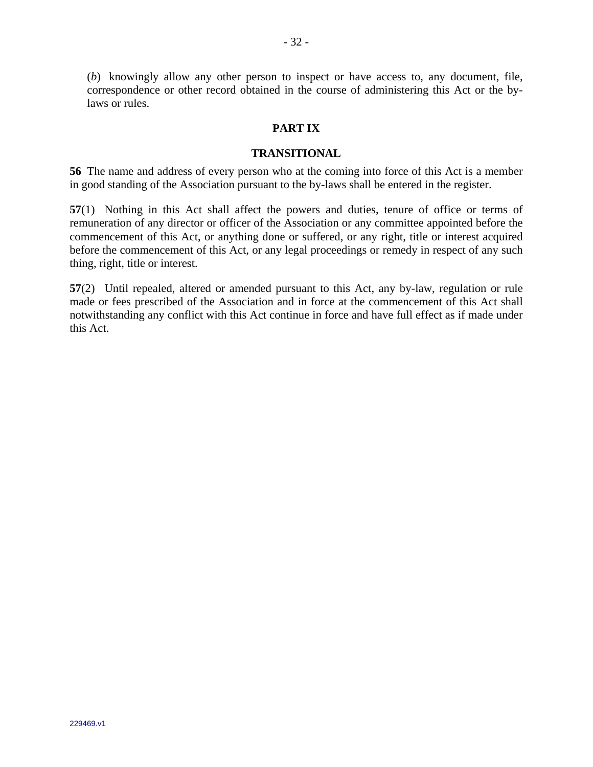(*b*) knowingly allow any other person to inspect or have access to, any document, file, correspondence or other record obtained in the course of administering this Act or the bylaws or rules.

### **PART IX**

#### **TRANSITIONAL**

**56** The name and address of every person who at the coming into force of this Act is a member in good standing of the Association pursuant to the by-laws shall be entered in the register.

**57**(1) Nothing in this Act shall affect the powers and duties, tenure of office or terms of remuneration of any director or officer of the Association or any committee appointed before the commencement of this Act, or anything done or suffered, or any right, title or interest acquired before the commencement of this Act, or any legal proceedings or remedy in respect of any such thing, right, title or interest.

**57**(2) Until repealed, altered or amended pursuant to this Act, any by-law, regulation or rule made or fees prescribed of the Association and in force at the commencement of this Act shall notwithstanding any conflict with this Act continue in force and have full effect as if made under this Act.